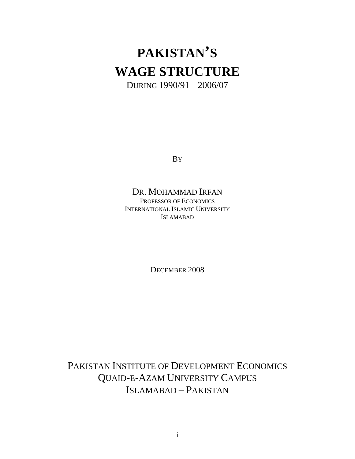# **PAKISTAN'S WAGE STRUCTURE**

DURING 1990/91 – 2006/07

By a set of the set of the set of the set of the set of the set of the set of the set of the set of the set of the set of the set of the set of the set of the set of the set of the set of the set of the set of the set of t

### DR. MOHAMMAD IRFAN

PROFESSOR OF ECONOMICS INTERNATIONAL ISLAMIC UNIVERSITY ISLAMABAD

DECEMBER 2008

PAKISTAN INSTITUTE OF DEVELOPMENT ECONOMICS QUAID-E-AZAM UNIVERSITY CAMPUS ISLAMABAD – PAKISTAN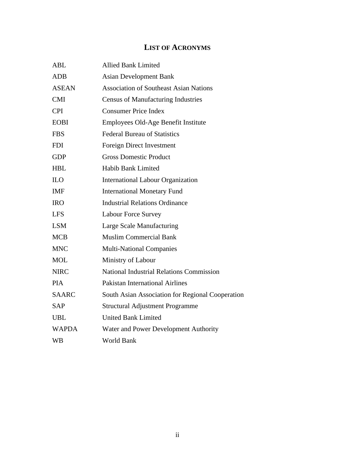#### **LIST OF ACRONYMS**

| ABL                               | Allied Bank Limited                              |
|-----------------------------------|--------------------------------------------------|
| ADB                               | <b>Asian Development Bank</b>                    |
| <b>ASEAN</b>                      | <b>Association of Southeast Asian Nations</b>    |
| CMI                               | <b>Census of Manufacturing Industries</b>        |
| <b>CPI</b>                        | <b>Consumer Price Index</b>                      |
| ${\bf E} {\bf O} {\bf B} {\bf I}$ | Employees Old-Age Benefit Institute              |
| <b>FBS</b>                        | <b>Federal Bureau of Statistics</b>              |
| <b>FDI</b>                        | <b>Foreign Direct Investment</b>                 |
| GDP                               | <b>Gross Domestic Product</b>                    |
| HBL                               | Habib Bank Limited                               |
| $_{\rm ILO}$                      | <b>International Labour Organization</b>         |
| IMF                               | <b>International Monetary Fund</b>               |
| <b>IRO</b>                        | <b>Industrial Relations Ordinance</b>            |
| <b>LFS</b>                        | <b>Labour Force Survey</b>                       |
| LSM                               | Large Scale Manufacturing                        |
| MCB                               | <b>Muslim Commercial Bank</b>                    |
| <b>MNC</b>                        | <b>Multi-National Companies</b>                  |
| $\rm MOL$                         | Ministry of Labour                               |
| <b>NIRC</b>                       | National Industrial Relations Commission         |
| <b>PIA</b>                        | <b>Pakistan International Airlines</b>           |
| SAARC                             | South Asian Association for Regional Cooperation |
| SAP                               | <b>Structural Adjustment Programme</b>           |
| UBL                               | United Bank Limited                              |
| WAPDA                             | Water and Power Development Authority            |
| <b>WB</b>                         | World Bank                                       |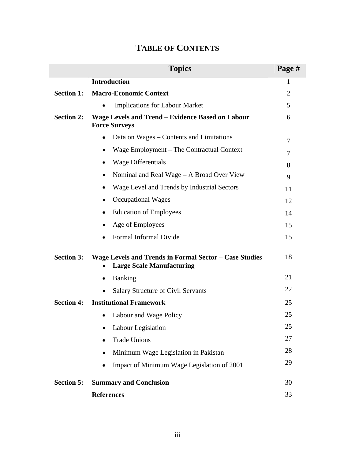| <b>TABLE OF CONTENTS</b> |  |  |
|--------------------------|--|--|
|--------------------------|--|--|

|                   | <b>Topics</b>                                                                                    | Page # |
|-------------------|--------------------------------------------------------------------------------------------------|--------|
|                   | <b>Introduction</b>                                                                              |        |
|                   | <b>Section 1: Macro-Economic Context</b>                                                         |        |
|                   | • Implications for Labour Market                                                                 |        |
| <b>Section 2:</b> | Wage Levels and Trend - Evidence Based on Labour<br><b>Force Surveys</b>                         |        |
|                   | $\bullet$ Data on Wages – Contents and Limitations                                               |        |
|                   | • Wage Employment - The Contractual Context                                                      |        |
|                   | • Wage Differentials                                                                             |        |
|                   | • Nominal and Real Wage $-$ A Broad Over View                                                    |        |
|                   | • Wage Level and Trends by Industrial Sectors                                                    | 11     |
|                   | • Occupational Wages                                                                             | 12     |
|                   | • Education of Employees                                                                         | 14     |
|                   | • Age of Employees                                                                               | 15     |
|                   | • Formal Informal Divide                                                                         | 15     |
|                   |                                                                                                  |        |
|                   | Section 3: Wage Levels and Trends in Formal Sector - Case Studies<br>• Large Scale Manufacturing | 18     |
|                   | • Banking                                                                                        | 21     |
|                   | • Salary Structure of Civil Servants                                                             | 22     |
|                   | <b>Section 4:</b> Institutional Framework                                                        | 25     |
|                   | • Labour and Wage Policy                                                                         | 25     |
|                   | • Labour Legislation                                                                             | 25     |
|                   | • Trade Unions                                                                                   | 27     |
|                   | • Minimum Wage Legislation in Pakistan                                                           | 28     |
|                   | • Impact of Minimum Wage Legislation of 2001                                                     | 29     |
|                   | <b>Section 5:</b> Summary and Conclusion                                                         | 30     |
|                   | <b>References</b>                                                                                | 33     |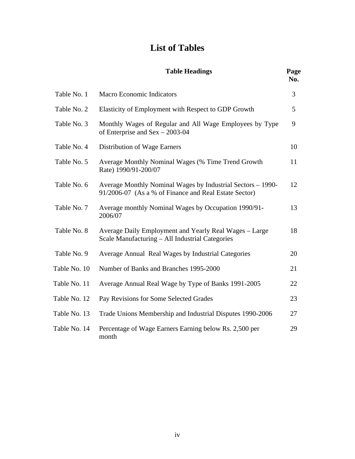### **List of Tables**

|              | <b>Table Headings</b>                                                                                                | Page<br>No.    |
|--------------|----------------------------------------------------------------------------------------------------------------------|----------------|
| Table No. 1  | <b>Macro Economic Indicators</b>                                                                                     | 3              |
| Table No. 2  | Elasticity of Employment with Respect to GDP Growth                                                                  | $\overline{5}$ |
| Table No. 3  | Monthly Wages of Regular and All Wage Employees by Type<br>of Enterprise and $Sex - 2003-04$                         | -9             |
| Table No. 4  | <b>Distribution of Wage Earners</b>                                                                                  | 10             |
| Table No. 5  | Average Monthly Nominal Wages (% Time Trend Growth<br>Rate) 1990/91-200/07                                           | <sup>11</sup>  |
| Table No. 6  | Average Monthly Nominal Wages by Industrial Sectors - 1990-<br>91/2006-07 (As a % of Finance and Real Estate Sector) | 12             |
| Table No. 7  | Average monthly Nominal Wages by Occupation 1990/91-<br>2006/07                                                      | 13             |
| Table No. 8  | Average Daily Employment and Yearly Real Wages - Large<br>Scale Manufacturing - All Industrial Categories            | 18             |
| Table No. 9  | Average Annual Real Wages by Industrial Categories                                                                   | 20             |
|              | Table No. 10 Number of Banks and Branches 1995-2000                                                                  | 21             |
| Table No. 11 | Average Annual Real Wage by Type of Banks 1991-2005                                                                  | 22             |
| Table No. 12 | Pay Revisions for Some Selected Grades                                                                               | 23             |
| Table No. 13 | Trade Unions Membership and Industrial Disputes 1990-2006                                                            | 27             |
| Table No. 14 | Percentage of Wage Earners Earning below Rs. 2,500 per<br>month                                                      | 29             |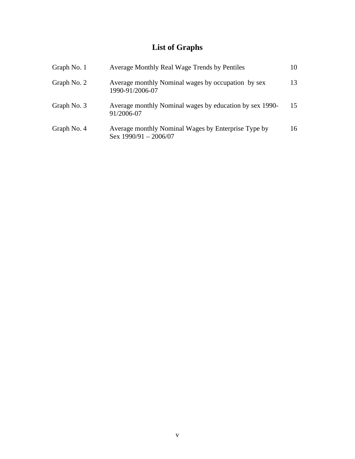## **List of Graphs**

| Graph No. 1 | Average Monthly Real Wage Trends by Pentiles                                   | 10 |
|-------------|--------------------------------------------------------------------------------|----|
| Graph No. 2 | Average monthly Nominal wages by occupation by sex<br>1990-91/2006-07          | 13 |
| Graph No. 3 | Average monthly Nominal wages by education by sex 1990-15<br>91/2006-07        |    |
| Graph No. 4 | Average monthly Nominal Wages by Enterprise Type by<br>Sex $1990/91 - 2006/07$ | 16 |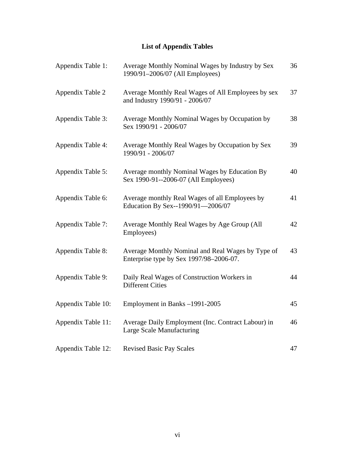### **List of Appendix Tables**

| Appendix Table 1:  | Average Monthly Nominal Wages by Industry by Sex<br>1990/91-2006/07 (All Employees)          | 36 |
|--------------------|----------------------------------------------------------------------------------------------|----|
| Appendix Table 2   | Average Monthly Real Wages of All Employees by sex<br>and Industry 1990/91 - 2006/07         | 37 |
| Appendix Table 3:  | Average Monthly Nominal Wages by Occupation by<br>Sex 1990/91 - 2006/07                      | 38 |
| Appendix Table 4:  | Average Monthly Real Wages by Occupation by Sex<br>1990/91 - 2006/07                         | 39 |
| Appendix Table 5:  | Average monthly Nominal Wages by Education By<br>Sex 1990-91--2006-07 (All Employees)        | 40 |
| Appendix Table 6:  | Average monthly Real Wages of all Employees by<br>Education By Sex--1990/91-2006/07          | 41 |
| Appendix Table 7:  | Average Monthly Real Wages by Age Group (All<br>Employees)                                   | 42 |
| Appendix Table 8:  | Average Monthly Nominal and Real Wages by Type of<br>Enterprise type by Sex 1997/98-2006-07. | 43 |
| Appendix Table 9:  | Daily Real Wages of Construction Workers in<br><b>Different Cities</b>                       | 44 |
| Appendix Table 10: | Employment in Banks-1991-2005                                                                | 45 |
| Appendix Table 11: | Average Daily Employment (Inc. Contract Labour) in<br>Large Scale Manufacturing              | 46 |
| Appendix Table 12: | <b>Revised Basic Pay Scales</b>                                                              | 47 |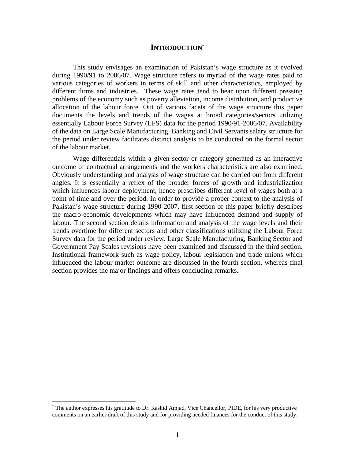#### **INTRODUCTION\***

This study envisages an examination of Pakistan's wage structure as it evolved during 1990/91 to 2006/07. Wage structure refers to myriad of the wage rates paid to various categories of workers in terms of skill and other characteristics, employed by different firms and industries. These wage rates tend to bear upon different pressing problems of the economy such as poverty alleviation, income distribution, and productive allocation of the labour force. Out of various facets of the wage structure this paper documents the levels and trends of the wages at broad categories/sectors utilizing essentially Labour Force Survey (LFS) data for the period 1990/91-2006/07. Availability of the data on Large Scale Manufacturing. Banking and Civil Servants salary structure for the period under review facilitates distinct analysis to be conducted on the formal sector

of the labour market. Wage differentials within <sup>a</sup> given sector or category generated as an interactive outcome of contractual arrangements and the workers characteristics are also examined. Obviously understanding and analysis of wage structure can be carried out from different angles. It is essentially a reflex of the broader forces of growth and industrialization which influences labour deployment, hence prescribes different level of wages both at a point of time and over the period. In order to provide a proper context to the analysis of Pakistan's wage structure during 1990-2007, first section of this paper briefly describes the macro-economic developments which may have influenced demand and supply of labour. The second section details information and analysis of the wage levels and their trends overtime for different sectors and other classifications utilizing the Labour Force Survey data for the period under review. Large Scale Manufacturing, Banking Sector and Government Pay Scales revisions have been examined and discussed in the third section. Institutional framework such as wage policy, labour legislation and trade unions which influenced the labour market outcome are discussed in the fourth section, whereas final section provides the major findings and offers concluding remarks.

 <sup>\*</sup> The author expresses his gratitude to Dr. Rashid Amjad, Vice Chancellor, PIDE, for his very productive comments on an earlier draft of this study and for providing needed finances for the conduct of this study.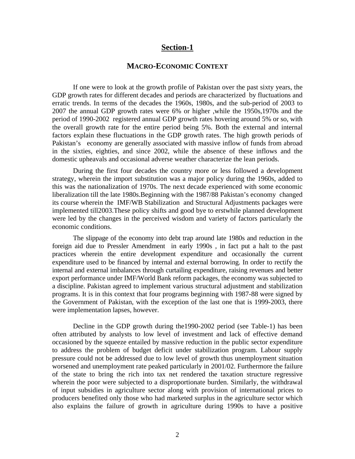#### **Section-1**

#### **MACRO-ECONOMIC CONTEXT**

If one were to look at the growth profile of Pakistan over the past sixty years, the GDP growth rates for different decades and periods are characterized by fluctuations and erratic trends. In terms of the decades the 1960s, 1980s, and the sub-period of 2003 to 2007 the annual GDP growth rates were 6% or higher ,while the 1950s,1970s and the period of 1990-2002 registered annual GDP growth rates hovering around 5% or so, with the overall growth rate for the entire period being 5%. Both the external and internal factors explain these fluctuations in the GDP growth rates. The high growth periods of Pakistan's economy are generally associated with massive inflow of funds from abroad in the sixties, eighties, and since 2002, while the absence of these inflows and the domestic upheavals and occasional adverse weather characterize the lean periods.

During the first four decades the country more or less followed a development strategy, wherein the import substitution was a major policy during the 1960s, added to this was the nationalization of 1970s. The next decade experienced with some economic liberalization till the late 1980s.Beginning with the 1987/88 Pakistan's economy changed its course wherein the IMF/WB Stabilization and Structural Adjustments packages were implemented till2003.These policy shifts and good bye to erstwhile planned development were led by the changes in the perceived wisdom and variety of factors particularly the economic conditions.

The slippage of the economy into debt trap around late 1980s and reduction in the foreign aid due to Pressler Amendment in early 1990s , in fact put a halt to the past practices wherein the entire development expenditure and occasionally the current expenditure used to be financed by internal and external borrowing. In order to rectify the internal and external imbalances through curtailing expenditure, raising revenues and better export performance under IMF/World Bank reform packages, the economy was subjected to a discipline. Pakistan agreed to implement various structural adjustment and stabilization programs. It is in this context that four programs beginning with 1987-88 were signed by the Government of Pakistan, with the exception of the last one that is 1999-2003, there were implementation lapses, however.<br>Decline in the GDP growth during the1990-2002 period (see Table-1) has been

often attributed by analysts to low level of investment and lack of effective demand occasioned by the squeeze entailed by massive reduction in the public sector expenditure to address the problem of budget deficit under stabilization program. Labour supply pressure could not be addressed due to low level of growth thus unemployment situation worsened and unemployment rate peaked particularly in 2001/02. Furthermore the failure of the state to bring the rich into tax net rendered the taxation structure regressive wherein the poor were subjected to a disproportionate burden. Similarly, the withdrawal of input subsidies in agriculture sector along with provision of international prices to producers benefited only those who had marketed surplus in the agriculture sector which also explains the failure of growth in agriculture during 1990s to have a positive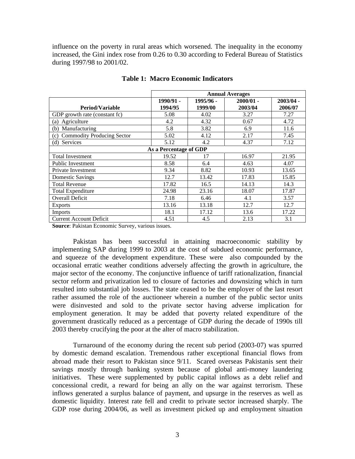influence on the poverty in rural areas which worsened. The inequality in the economy increased, the Gini index rose from 0.26 to 0.30 according to Federal Bureau of Statistics during 1997/98 to 2001/02.

|                                |                        |           | <b>Annual Averages</b> |             |
|--------------------------------|------------------------|-----------|------------------------|-------------|
|                                | 1990/91 -              | 1995/96 - | $2000/01 -$            | $2003/04 -$ |
| <b>Period/Variable</b>         | 1994/95                | 1999/00   | 2003/04                | 2006/07     |
| GDP growth rate (constant fc)  | 5.08                   | 4.02      | 3.27                   | 7.27        |
| (a) Agriculture                | 4.2                    | 4.32      | 0.67                   | 4.72        |
| (b) Manufacturing              | 5.8                    | 3.82      | 6.9                    | 11.6        |
| (c) Commodity Producing Sector | 5.02                   | 4.12      | 2.17                   | 7.45        |
| (d) Services                   | 5.12                   | 4.2       | 4.37                   | 7.12        |
|                                | As a Percentage of GDP |           |                        |             |
| Total Investment               | 19.52                  | 17        | 16.97                  | 21.95       |
| Public Investment              | 8.58                   | 6.4       | 4.63                   | 4.07        |
| Private Investment             | 9.34                   | 8.82      | 10.93                  | 13.65       |
| Domestic Savings               | 12.7                   | 13.42     | 17.83                  | 15.85       |
| <b>Total Revenue</b>           | 17.82                  | 16.5      | 14.13                  | 14.3        |
| Total Expenditure              | 24.98                  | 23.16     | 18.07                  | 17.87       |
| Overall Deficit                | 7.18                   | 6.46      | 4.1                    | 3.57        |
| Exports                        | 13.16                  | 13.18     | 12.7                   | 12.7        |
| Imports                        | 18.1                   | 17.12     | 13.6                   | 17.22       |
| <b>Current Account Deficit</b> | 4.51                   | 4.5       | 2.13                   | 3.1         |

**Table 1: Macro Economic Indicators**

**Source**: Pakistan Economic Survey, various issues.

Pakistan has been successful in attaining macroeconomic stability by implementing SAP during 1999 to 2003 at the cost of subdued economic performance, and squeeze of the development expenditure. These were also compounded by the occasional erratic weather conditions adversely affecting the growth in agriculture, the major sector of the economy. The conjunctive influence of tariff rationalization, financial sector reform and privatization led to closure of factories and downsizing which in turn resulted into substantial job losses. The state ceased to be the employer of the last resort rather assumed the role of the auctioneer wherein a number of the public sector units were disinvested and sold to the private sector having adverse implication for employment generation. It may be added that poverty related expenditure of the government drastically reduced as a percentage of GDP during the decade of 1990s till 2003 thereby crucifying the poor at the alter of macro stabilization.

Turnaround of the economy during the recent sub period (2003-07) was spurred by domestic demand escalation. Tremendous rather exceptional financial flows from abroad made their resort to Pakistan since 9/11. Scared overseas Pakistanis sent their savings mostly through banking system because of global anti-money laundering initiatives. These were supplemented by public capital inflows as a debt relief and concessional credit, a reward for being an ally on the war against terrorism. These inflows generated a surplus balance of payment, and upsurge in the reserves as well as domestic liquidity. Interest rate fell and credit to private sector increased sharply. The GDP rose during 2004/06, as well as investment picked up and employment situation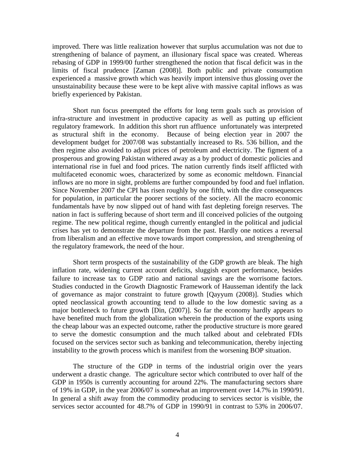improved. There was little realization however that surplus accumulation was not due to strengthening of balance of payment, an illusionary fiscal space was created. Whereas rebasing of GDP in 1999/00 further strengthened the notion that fiscal deficit was in the limits of fiscal prudence [Zaman (2008)]. Both public and private consumption experienced a massive growth which was heavily import intensive thus glossing over the unsustainability because these were to be kept alive with massive capital inflows as was briefly experienced by Pakistan.

Short run focus preempted the efforts for long term goals such as provision of infra-structure and investment in productive capacity as well as putting up efficient regulatory framework. In addition this short run affluence unfortunately was interpreted as structural shift in the economy. Because of being election year in 2007 the development budget for 2007/08 was substantially increased to Rs. 536 billion, and the then regime also avoided to adjust prices of petroleum and electricity. The figment of a prosperous and growing Pakistan withered away as a by product of domestic policies and international rise in fuel and food prices. The nation currently finds itself afflicted with multifaceted economic woes, characterized by some as economic meltdown. Financial inflows are no more in sight, problems are further compounded by food and fuel inflation. Since November 2007 the CPI has risen roughly by one fifth, with the dire consequences for population, in particular the poorer sections of the society. All the macro economic fundamentals have by now slipped out of hand with fast depleting foreign reserves. The nation in fact is suffering because of short term and ill conceived policies of the outgoing regime. The new political regime, though currently entangled in the political and judicial crises has yet to demonstrate the departure from the past. Hardly one notices a reversal from liberalism and an effective move towards import compression, and strengthening of the regulatory framework, the need of the hour.

Short term prospects of the sustainability of the GDP growth are bleak. The high inflation rate, widening current account deficits, sluggish export performance, besides failure to increase tax to GDP ratio and national savings are the worrisome factors. Studies conducted in the Growth Diagnostic Framework of Hausseman identify the lack of governance as major constraint to future growth [Qayyum (2008)]. Studies which opted neoclassical growth accounting tend to allude to the low domestic saving as a major bottleneck to future growth [Din,(2007)]. So far the economy hardly appears to have benefited much from the globalization wherein the production of the exports using the cheap labour was an expected outcome, rather the productive structure is more geared to serve the domestic consumption and the much talked about and celebrated FDIs focused on the services sector such as banking and telecommunication, thereby injecting instability to the growth process which is manifest from the worsening BOP situation.

The structure of the GDP in terms of the industrial origin over the years underwent a drastic change. The agriculture sector which contributed to over half of the GDP in 1950s is currently accounting for around 22%. The manufacturing sectors share of 19% in GDP, in the year 2006/07 is somewhat an improvement over 14.7% in 1990/91. In general a shift away from the commodity producing to services sector is visible, the services sector accounted for 48.7% of GDP in 1990/91 in contrast to 53% in 2006/07.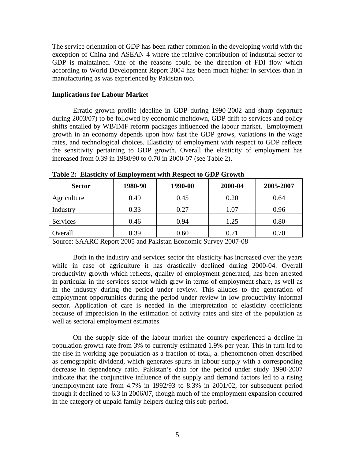The service orientation of GDP has been rather common in the developing world with the exception of China and ASEAN 4 where the relative contribution of industrial sector to GDP is maintained. One of the reasons could be the direction of FDI flow which according to World Development Report 2004 has been much higher in services than in manufacturing as was experienced by Pakistan too.

#### **Implications for Labour Market**

Erratic growth profile (decline in GDP during 1990-2002 and sharp departure during 2003/07) to be followed by economic meltdown, GDP drift to services and policy shifts entailed by WB/IMF reform packages influenced the labour market. Employment growth in an economy depends upon how fast the GDP grows, variations in the wage rates, and technological choices. Elasticity of employment with respect to GDP reflects the sensitivity pertaining to GDP growth. Overall the elasticity of employment has increased from 0.39 in 1980/90 to 0.70 in 2000-07 (see Table 2).

| <b>Sector</b> | 1980-90 | 1990-00     | 2000-04 | 2005-2007 |
|---------------|---------|-------------|---------|-----------|
| Agriculture   | 0.49    | 0.45        | 0.20    | 0.64      |
| Industry      | 0.33    | 0.27<br>U.L | 1.07    | 0.96      |
| Services      | 0.46    | 0.94        | 1.25    | 0.80      |
| Overall       | 0.39    | 0.60        | 0.71    | 0.70      |

**Table 2: Elasticity of Employment with Respect to GDP Growth**

Source: SAARC Report 2005 and Pakistan Economic Survey 2007-08

Both in the industry and services sector the elasticity has increased over the years while in case of agriculture it has drastically declined during 2000-04. Overall productivity growth which reflects, quality of employment generated, has been arrested in particular in the services sector which grew in terms of employment share, as well as in the industry during the period under review. This alludes to the generation of employment opportunities during the period under review in low productivity informal sector. Application of care is needed in the interpretation of elasticity coefficients because of imprecision in the estimation of activity rates and size of the population as well as sectoral employment estimates.

On the supply side of the labour market the country experienced a decline in population growth rate from 3% to currently estimated 1.9% per year. This in turn led to the rise in working age population as a fraction of total, a. phenomenon often described as demographic dividend, which generates spurts in labour supply with a corresponding decrease in dependency ratio. Pakistan's data for the period under study 1990-2007 indicate that the conjunctive influence of the supply and demand factors led to a rising unemployment rate from 4.7% in 1992/93 to 8.3% in 2001/02, for subsequent period though it declined to 6.3 in 2006/07, though much of the employment expansion occurred in the category of unpaid family helpers during this sub-period.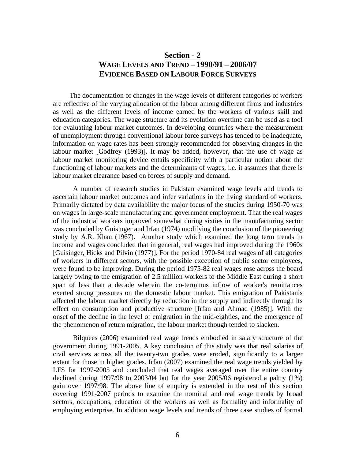### **Section - 2 WAGE LEVELS AND TREND – 1990/91 – 2006/07 EVIDENCE BASED ON LABOUR FORCE SURVEYS**

The documentation of changes in the wage levels of different categories of workers are reflective of the varying allocation of the labour among different firms and industries as well as the different levels of income earned by the workers of various skill and education categories. The wage structure and its evolution overtime can be used as a tool for evaluating labour market outcomes. In developing countries where the measurement of unemployment through conventional labour force surveys has tended to be inadequate, information on wage rates has been strongly recommended for observing changes in the labour market [Godfrey (1993)]. It may be added, however, that the use of wage as labour market monitoring device entails specificity with a particular notion about the functioning of labour markets and the determinants of wages, i.e. it assumes that there is labour market clearance based on forces of supply and demand**.**

A number of research studies in Pakistan examined wage levels and trends to ascertain labour market outcomes and infer variations in the living standard of workers. Primarily dictated by data availability the major focus of the studies during 1950-70 was on wages in large-scale manufacturing and government employment. That the real wages of the industrial workers improved somewhat during sixties in the manufacturing sector was concluded by Guisinger and Irfan (1974) modifying the conclusion of the pioneering study by A.R. Khan (1967). Another study which examined the long term trends in income and wages concluded that in general, real wages had improved during the 1960s [Guisinger, Hicks and Pilvin (1977)]. For the period 1970-84 real wages of all categories of workers in different sectors, with the possible exception of public sector employees, were found to be improving. During the period 1975-82 real wages rose across the board largely owing to the emigration of 2.5 million workers to the Middle East during a short span of less than a decade wherein the co-terminus inflow of worker's remittances exerted strong pressures on the domestic labour market. This emigration of Pakistanis affected the labour market directly by reduction in the supply and indirectly through its effect on consumption and productive structure [Irfan and Ahmad (1985)]. With the onset of the decline in the level of emigration in the mid-eighties, and the emergence of the phenomenon of return migration, the labour market though tended to slacken.

Bilquees (2006) examined real wage trends embodied in salary structure of the government during 1991-2005. A key conclusion of this study was that real salaries of civil services across all the twenty-two grades were eroded, significantly to a larger extent for those in higher grades. Irfan (2007) examined the real wage trends yielded by LFS for 1997-2005 and concluded that real wages averaged over the entire country declined during 1997/98 to 2003/04 but for the year 2005/06 registered a paltry (1%) gain over 1997/98. The above line of enquiry is extended in the rest of this section covering 1991-2007 periods to examine the nominal and real wage trends by broad sectors, occupations, education of the workers as well as formality and informality of employing enterprise. In addition wage levels and trends of three case studies of formal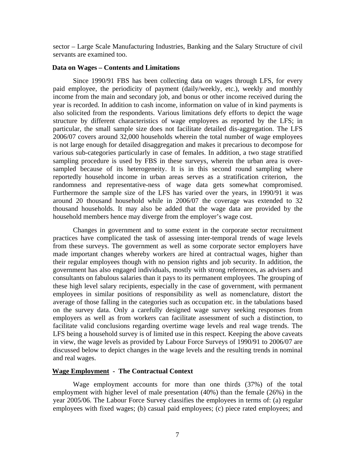sector – Large Scale Manufacturing Industries, Banking and the Salary Structure of civil servants are examined too.

#### **Data on Wages – Contents and Limitations**

Since 1990/91 FBS has been collecting data on wages through LFS, for every paid employee, the periodicity of payment (daily/weekly, etc.), weekly and monthly income from the main and secondary job, and bonus or other income received during the year is recorded. In addition to cash income, information on value of in kind payments is also solicited from the respondents. Various limitations defy efforts to depict the wage structure by different characteristics of wage employees as reported by the LFS; in particular, the small sample size does not facilitate detailed dis-aggregation. The LFS 2006/07 covers around 32,000 households wherein the total number of wage employees is not large enough for detailed disaggregation and makes it precarious to decompose for various sub-categories particularly in case of females. In addition, a two stage stratified sampling procedure is used by FBS in these surveys, wherein the urban area is over sampled because of its heterogeneity. It is in this second round sampling where reportedly household income in urban areas serves as a stratification criterion, the randomness and representative-ness of wage data gets somewhat compromised. Furthermore the sample size of the LFS has varied over the years, in 1990/91 it was around 20 thousand household while in 2006/07 the coverage was extended to 32 thousand households. It may also be added that the wage data are provided by the household members hence may diverge from the employer's wage cost.

Changes in government and to some extent in the corporate sector recruitment practices have complicated the task of assessing inter-temporal trends of wage levels from these surveys. The government as well as some corporate sector employers have made important changes whereby workers are hired at contractual wages, higher than their regular employees though with no pension rights and job security. In addition, the government has also engaged individuals, mostly with strong references, as advisers and consultants on fabulous salaries than it pays to its permanent employees. The grouping of these high level salary recipients, especially in the case of government, with permanent employees in similar positions of responsibility as well as nomenclature, distort the average of those falling in the categories such as occupation etc. in the tabulations based on the survey data. Only a carefully designed wage survey seeking responses from employers as well as from workers can facilitate assessment of such a distinction, to facilitate valid conclusions regarding overtime wage levels and real wage trends. The LFS being a household survey is of limited use in this respect. Keeping the above caveats in view, the wage levels as provided by Labour Force Surveys of 1990/91 to 2006/07 are discussed below to depict changes in the wage levels and the resulting trends in nominal and real wages.

#### **Wage Employment - The Contractual Context**

Wage employment accounts for more than one thirds (37%) of the total employment with higher level of male presentation  $(40%)$  than the female  $(26%)$  in the year 2005/06. The Labour Force Survey classifies the employees in terms of: (a) regular employees with fixed wages; (b) casual paid employees; (c) piece rated employees; and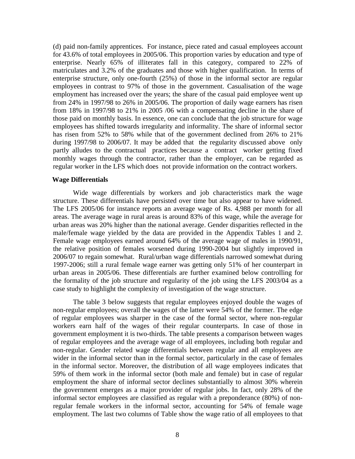(d) paid non-family apprentices. For instance, piece rated and casual employees account for 43.6% of total employees in 2005/06. This proportion varies by education and type of enterprise. Nearly 65% of illiterates fall in this category, compared to 22% of matriculates and 3.2% of the graduates and those with higher qualification. In terms of enterprise structure, only one-fourth  $(25%)$  of those in the informal sector are regular employees in contrast to 97% of those in the government. Casualisation of the wage employment has increased over the years; the share of the casual paid employee went up from 24% in 1997/98 to 26% in 2005/06. The proportion of daily wage earners has risen from 18% in 1997/98 to 21% in 2005 /06 with a compensating decline in the share of those paid on monthly basis. In essence, one can conclude that the job structure for wage employees has shifted towards irregularity and informality. The share of informal sector has risen from 52% to 58% while that of the government declined from 26% to 21% during 1997/98 to 2006/07. It may be added that the regularity discussed above only partly alludes to the contractual practices because a contract worker getting fixed monthly wages through the contractor, rather than the employer, can be regarded as regular worker in the LFS which does not provide information on the contract workers.

#### **Wage Differentials**

Wide wage differentials by workers and job characteristics mark the wage structure. These differentials have persisted over time but also appear to have widened. The LFS 2005/06 for instance reports an average wage of Rs. 4,988 per month for all areas. The average wage in rural areas is around 83% of this wage, while the average for urban areas was 20% higher than the national average. Gender disparities reflected in the male/female wage yielded by the data are provided in the Appendix Tables 1 and 2.<br>Female wage employees earned around 64% of the average wage of males in 1990/91,<br>the relative position of females worsened during 1990-2004 2006/07 to regain somewhat. Rural/urban wage differentials narrowed somewhat during 1997-2006; still a rural female wage earner was getting only 51% of her counterpart in urban areas in 2005/06. These differentials are further examined below controlling for the formality of the job structure and regularity of the job using the LFS 2003/04 as a case study to highlight the complexity of investigation of the wage structure.

The table 3 below suggests that regular employees enjoyed double the wages of non-regular employees; overall the wages of the latter were 54% of the former. The edge of regular employees was sharper in the case of the formal sector, where non-regular workers earn half of the wages of their regular counterparts.In case of those in government employment it is two-thirds. The table presents a comparison between wages of regular employees and the average wage of all employees, including both regular and non-regular. Gender related wage differentials between regular and all employees are wider in the informal sector than in the formal sector, particularly in the case of females in the informal sector. Moreover, the distribution of all wage employees indicates that 59% of them work in the informal sector (both male and female) but in case of regular employment the share of informal sector declines substantially to almost 30% wherein the government emerges as a major provider of regular jobs. In fact, only 28% of the informal sector employees are classified as regular with a preponderance (80%) of nonregular female workers in the informal sector, accounting for 54% of female wage employment. The last two columns of Table show the wage ratio of all employees to that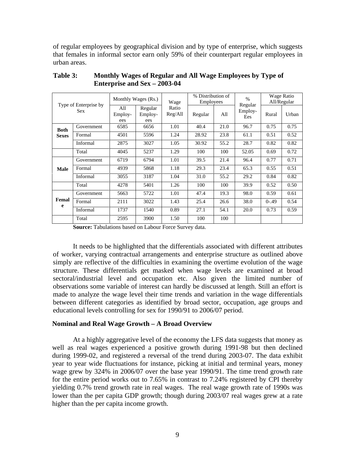of regular employees by geographical division and by type of enterprise, which suggests that females in informal sector earn only 59% of their counterpart regular employees in urban areas.

|             |                              |                       | Monthly Wages (Rs.)       | Wage             | % Distribution of<br>Employees |      |                           | Wage Ratio<br>All/Regular |       |
|-------------|------------------------------|-----------------------|---------------------------|------------------|--------------------------------|------|---------------------------|---------------------------|-------|
|             | Type of Enterprise by<br>Sex | All<br>Employ-<br>ees | Regular<br>Employ-<br>ees | Ratio<br>Reg/All | Regular                        | All  | Regular<br>Employ-<br>Ees | Rural                     | Urban |
| <b>Both</b> | Government                   | 6585                  | 6656                      | 1.01             | 40.4                           | 21.0 | 96.7                      | 0.75                      | 0.75  |
|             | Sexes Formal                 | 4501                  | 5596                      | 1.24             | 28.92                          | 23.8 | 61.1                      | 0.51                      | 0.52  |
|             | Informal                     | 2875                  | 3027                      | 1.05             | 30.92                          | 55.2 | 28.7                      | 0.82                      | 0.82  |
|             | Total                        | 4045                  | 5237                      | 1.29             | 100                            | 100  | 52.05                     | 0.69                      | 0.72  |
|             | Government                   | 6719                  | 6794                      | 1.01             | 39.5                           | 21.4 | 96.4                      | 0.77                      | 0.71  |
| <b>Male</b> | Formal                       | 4939                  | 5868                      | 1.18             | 29.3                           | 23.4 | 65.3                      | 0.55                      | 0.51  |
|             | Informal                     | 3055                  | 3187                      | 1.04             | 31.0                           | 55.2 | 29.2                      | 0.84                      | 0.82  |
|             | Total                        | 4278                  | 5401                      | 1.26             | 100                            | 100  | 39.9                      | 0.52                      | 0.50  |
|             | Government                   | 5663                  | 5722                      | 1.01             | 47.4                           | 19.3 | 98.0                      | 0.59                      | 0.61  |
|             | <b>Femal</b> Formal          | 2111                  | 3022                      | 1.43             | 25.4                           | 26.6 | 38.0                      | $0 - .49$                 | 0.54  |
|             | Informal                     | 1737                  | 1540                      | 0.89             | 27.1                           | 54.1 | 20.0                      | 0.73                      | 0.59  |
|             | Total                        | 2595                  | 3900                      | 1.50             | 100                            | 100  |                           |                           |       |

**Table 3: Monthly Wages of Regular and All Wage Employees by Type of Enterprise and Sex – 2003-04**

**Source:** Tabulations based on Labour Force Survey data.

It needs to be highlighted that the differentials associated with different attributes of worker, varying contractual arrangements and enterprise structure as outlined above simply are reflective of the difficulties in examining the overtime evolution of the wage structure. These differentials get masked when wage levels are examined at broad sectoral/industrial level and occupation etc. Also given the limited number of observations some variable of interest can hardly be discussed at length. Still an effort is made to analyze the wage level their time trends and variation in the wage differentials between different categories as identified by broad sector, occupation, age groups and educational levels controlling for sex for 1990/91 to 2006/07 period.

#### **Nominal and Real Wage Growth – A Broad Overview**

At a highly aggregative level of the economy the LFS data suggests that money as well as real wages experienced a positive growth during 1991-98 but then declined during 1999-02, and registered a reversal of the trend during 2003-07. The data exhibit year to year wide fluctuations for instance, picking at initial and terminal years, money wage grew by 324% in 2006/07 over the base year 1990/91. The time trend growth rate for the entire period works out to 7.65% in contrast to 7.24% registered by CPI thereby yielding 0.7% trend growth rate in real wages. The real wage growth rate of 1990s was lower than the per capita GDP growth; though during 2003/07 real wages grew at a rate higher than the per capita income growth.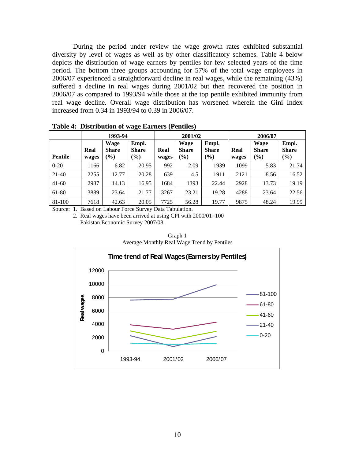During the period under review the wage growth rates exhibited substantial diversity by level of wages as well as by other classificatory schemes. Table 4 below depicts the distribution of wage earners by pentiles for few selected years of the time period. The bottom three groups accounting for 57% of the total wage employees in 2006/07 experienced a straightforward decline in real wages, while the remaining (43%) suffered a decline in real wages during 2001/02 but then recovered the position in 2006/07 as compared to 1993/94 while those at the top pentile exhibited immunity from real wage decline. Overall wage distribution has worsened wherein the Gini Index increased from 0.34 in 1993/94 to 0.39 in 2006/07.

|         |              | 1993-94      |                  |              | 2001/02      |              |      | 2006/07                                                                                                                                             |              |
|---------|--------------|--------------|------------------|--------------|--------------|--------------|------|-----------------------------------------------------------------------------------------------------------------------------------------------------|--------------|
|         |              | Wage         | $\mathsf{Empl.}$ |              | Wage         | Empl.        |      | Wage                                                                                                                                                | Empl.        |
|         | Real         | <b>Share</b> | <b>Share</b>     | Real         | <b>Share</b> | <b>Share</b> |      |                                                                                                                                                     | <b>Share</b> |
| Pentile | wages $(\%)$ |              | (%               | wages $(\%)$ |              | (%)          |      | Real Share<br>$\begin{array}{ c c } \hline \textbf{Real} & \textbf{Share} \\ \hline \textbf{wages} & (\frac{\%}{\textbf{Q}}) \\ \hline \end{array}$ | $($ %)       |
| $0-20$  | 1166         | 6.82         | 20.95            | 992          | 2.09         | 1939         | 1099 | 5.83                                                                                                                                                | 21.74        |
| $21-40$ | 2255         | 12.77        | 20.28            | 639          | 4.5          | 1911         | 2121 | 8.56                                                                                                                                                | 16.52        |
| $41-60$ | 2987         | 14.13        | 16.95            | 1684         | 1393         | 22.44        | 2928 | 13.73                                                                                                                                               | 19.19        |
| $61-80$ | 3889         | 23.64        | 21.77            | 3267         | 23.21        | 19.28        | 4288 | 23.64                                                                                                                                               | 22.56        |
| 81-100  | 7618         | 42.63        | 20.05            | 7725         | 56.28        | 19.77        | 9875 | 48.24                                                                                                                                               | 19.99        |

**Table 4: Distribution of wage Earners (Pentiles)**

Source: 1. Based on Labour Force Survey Data Tabulation.

2. Real wages have been arrived at using CPI with 2000/01=100 Pakistan Economic Survey 2007/08.



Graph 1 Average Monthly Real Wage Trend by Pentiles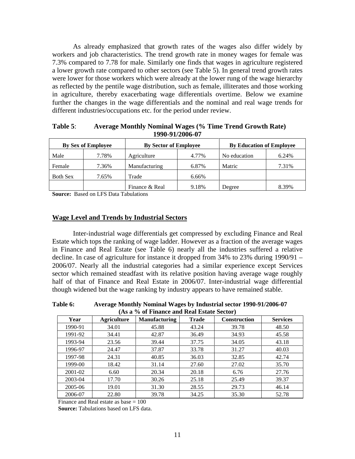As already emphasized that growth rates of the wages also differ widely by workers and job characteristics. The trend growth rate in money wages for female was 7.3% compared to 7.78 for male. Similarly one finds that wages in agriculture registered a lower growth rate compared to other sectors (see Table 5). In general trend growth rates were lower for those workers which were already at the lower rung of the wage hierarchy as reflected by the pentile wage distribution, such as female, illiterates and those working in agriculture, thereby exacerbating wage differentials overtime. Below we examine further the changes in the wage differentials and the nominal and real wage trends for different industries/occupations etc. for the period under review.

|                 | <b>By Sex of Employee</b> | <b>By Sector of Employee</b> |       | <b>By Education of Employee</b>                       |                   |
|-----------------|---------------------------|------------------------------|-------|-------------------------------------------------------|-------------------|
| Male            | 7.78%                     | Agriculture                  | 4.77% | the contract of the contract of the<br>l No education | 6.24%             |
| Female          | 7.36%                     | Manufacturing                | 6.87% | <b>Matric</b>                                         | 7.210<br>$1.31\%$ |
| <b>Both Sex</b> | 7.65%                     | Trade                        | 6.66% |                                                       |                   |
|                 |                           | Finance & Real               | 9.18% | Degree                                                | 8.39%             |

**Table 5**: **Average Monthly Nominal Wages (% Time Trend Growth Rate) 1990-91/2006-07**

**Source:** Based on LFS Data Tabulations

#### **Wage Level and Trends by Industrial Sectors**

Inter-industrial wage differentials get compressed by excluding Finance and Real Estate which tops the ranking of wage ladder. However as a fraction of the average wages in Finance and Real Estate (see Table 6) nearly all the industries suffered a relative decline. In case of agriculture for instance it dropped from 34% to 23% during 1990/91 – 2006/07. Nearly all the industrial categories had a similar experience except Services sector which remained steadfast with its relative position having average wage roughly half of that of Finance and Real Estate in 2006/07. Inter-industrial wage differential though widened but the wage ranking by industry appears to have remained stable.

**Table 6: Average Monthly Nominal Wages by Industrial sector 1990-91/2006-07 (As a % of Finance and Real Estate Sector)**

|               |             | $(119 \text{ a})$ $(0 \text{ b})$ is mance and incarribative $(0.11)$ |              |              |                 |
|---------------|-------------|-----------------------------------------------------------------------|--------------|--------------|-----------------|
| $- -$<br>Year | Agriculture | Manufacturing                                                         | <b>Trade</b> | Construction | <b>Services</b> |
| 1990-91       | 34.01       | 45.88                                                                 | 43.24        | 39.78        | 48.50           |
| 1991-92       | 34.41       | 42.87                                                                 | 36.49        | 34.93        | 45.58           |
| 1993-94       | 23.56       | 39.44                                                                 | 37.75        | 34.05        | 43.18           |
| 1996-97       | 24.47       | 37.87                                                                 | 33.78        | 31.27        | 40.03           |
| 1997-98       | 24.31       | 40.85                                                                 | 36.03        | 32.85        | 42.74           |
| 1999-00       | 18.42       | 31.14                                                                 | 27.60        | 27.02        | 35.70           |
| 2001-02       | 6.60        | 20.34                                                                 | 20.18        | 6.76         | 27.76           |
| 2003-04       | 17.70       | 30.26                                                                 | 25.18        | 25.49        | 39.37           |
| 2005-06       | 19.01       | 31.30                                                                 | 28.55        | 29.73        | 46.14           |
| 2006-07       | 22.80       | 39.78                                                                 | 34.25        | 35.30        | 52.78           |

Finance and Real estate as base  $= 100$ 

 **Source:** Tabulations based on LFS data.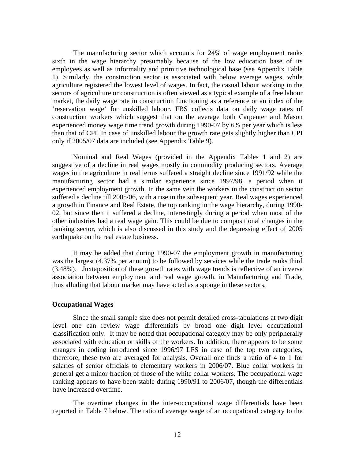The manufacturing sector which accounts for 24% of wage employment ranks sixth in the wage hierarchy presumably because of the low education base of its employees as well as informality and primitive technological base (see Appendix Table 1). Similarly, the construction sector is associated with below average wages, while agriculture registered the lowest level of wages. In fact, the casual labour working in the sectors of agriculture or construction is often viewed as a typical example of a free labour market, the daily wage rate in construction functioning as a reference or an index of the 'reservation wage' for unskilled labour. FBS collects data on daily wage rates of construction workers which suggest that on the average both Carpenter and Mason experienced money wage time trend growth during 1990-07 by 6% per year which is less than that of CPI. In case of unskilled labour the growth rate gets slightly higher than CPI only if 2005/07 data are included (see Appendix Table 9).

Nominal and Real Wages (provided in the Appendix Tables 1 and 2) are suggestive of a decline in real wages mostly in commodity producing sectors. Average wages in the agriculture in real terms suffered a straight decline since 1991/92 while the manufacturing sector had a similar experience since 1997/98, a period when it experienced employment growth. In the same vein the workers in the construction sector suffered a decline till 2005/06, with a rise in the subsequent year. Real wages experienced a growth in Finance and Real Estate, the top ranking in the wage hierarchy, during 1990- 02, but since then it suffered a decline, interestingly during a period when most of the other industries had a real wage gain. This could be due to compositional changes in the banking sector, which is also discussed in this study and the depressing effect of 2005 earthquake on the real estate business.

It may be added that during 1990-07 the employment growth in manufacturing was the largest (4.37% per annum) to be followed by services while the trade ranks third (3.48%). Juxtaposition of these growth rates with wage trends is reflective of an inverse association between employment and real wage growth, in Manufacturing and Trade, thus alluding that labour market may have acted as a sponge in these sectors.

#### **Occupational Wages**

Since the small sample size does not permit detailed cross-tabulations at two digit level one can review wage differentials by broad one digit level occupational classification only. It may be noted that occupational category may be only peripherally associated with education or skills of the workers. In addition, there appears to be some changes in coding introduced since 1996/97 LFS in case of the top two categories, therefore, these two are averaged for analysis. Overall one finds a ratio of 4 to 1 for salaries of senior officials to elementary workers in 2006/07. Blue collar workers in general get a minor fraction of those of the white collar workers. The occupational wage ranking appears to have been stable during 1990/91 to 2006/07, though the differentials have increased overtime.

The overtime changes in the inter-occupational wage differentials have been reported in Table 7 below. The ratio of average wage of an occupational category to the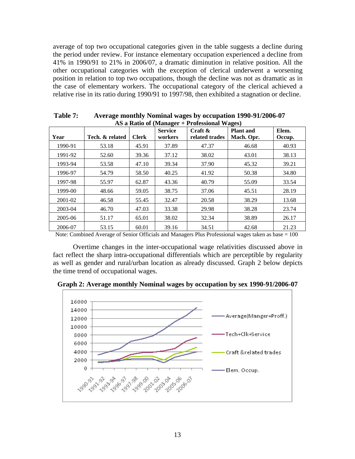average of top two occupational categories given in the table suggests a decline during the period under review. For instance elementary occupation experienced a decline from 41% in 1990/91 to 21% in 2006/07, a dramatic diminution in relative position. All the other occupational categories with the exception of clerical underwent a worsening position in relation to top two occupations, though the decline was not as dramatic as in the case of elementary workers. The occupational category of the clerical achieved a relative rise in its ratio during 1990/91 to 1997/98, then exhibited a stagnation or decline.

|         |                         |       |                           | AS a Ratio of (Manager + Professional Wages) |           |                 |
|---------|-------------------------|-------|---------------------------|----------------------------------------------|-----------|-----------------|
| Year    | Tech. & related   Clerk |       | <b>Service</b><br>workers | Craft &<br>related trades   Mach. Opr.       | Plant and | Elem.<br>Occup. |
| 1990-91 | 53.18                   | 45.91 | 37.89                     | 47.37                                        | 46.68     | 40.93           |
| 1991-92 | 52.60                   | 39.36 | 37.12                     | 38.02                                        | 43.01     | 38.13           |
| 1993-94 | 53.58                   | 47.10 | 39.34                     | 37.90                                        | 45.32     | 39.21           |
| 1996-97 | 54.79                   | 58.50 | 40.25                     | 41.92                                        | 50.38     | 34.80           |
| 1997-98 | 55.97                   | 62.87 | 43.36                     | 40.79                                        | 55.09     | 33.54           |
| 1999-00 | 48.66                   | 59.05 | 38.75                     | 37.06                                        | 45.51     | 28.19           |
| 2001-02 | 46.58                   | 55.45 | 32.47                     | 20.58                                        | 38.29     | 13.68           |
| 2003-04 | 46.70                   | 47.03 | 33.38                     | 29.98                                        | 38.28     | 23.74           |
| 2005-06 | 51.17                   | 65.01 | 38.02                     | 32.34                                        | 38.89     | 26.17           |
| 2006-07 | 53.15                   | 60.01 | 39.16                     | 34.51                                        | 42.68     | 21.23           |

**Table 7: Average monthly Nominal wages by occupation 1990-91/2006-07**

Note: Combined Average of Senior Officials and Managers Plus Professional wages taken as base = 100

Overtime changes in the inter-occupational wage relativities discussed above in fact reflect the sharp intra-occupational differentials which are perceptible by regularity as well as gender and rural/urban location as already discussed. Graph 2 below depicts the time trend of occupational wages.



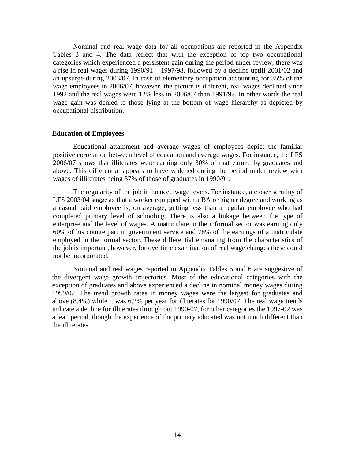Nominal and real wage data for all occupations are reported in the Appendix Tables 3 and 4. The data reflect that with the exception of top two occupational categories which experienced a persistent gain during the period under review, there was a rise in real wages during 1990/91 – 1997/98, followed by a decline uptill 2001/02 and an upsurge during 2003/07. In case of elementary occupation accounting for 35% of the wage employees in 2006/07, however, the picture is different, real wages declined since 1992 and the real wages were 12% less in 2006/07 than 1991/92. In other words the real wage gain was denied to those lying at the bottom of wage hierarchy as depicted by occupational distribution.

#### **Education of Employees**

Educational attainment and average wages of employees depict the familiar positive correlation between level of education and average wages. For instance, the LFS 2006/07 shows that illiterates were earning only 30% of that earned by graduates and above. This differential appears to have widened during the period under review with wages of illiterates being 37% of those of graduates in 1990/91.

The regularity of the job influenced wage levels. For instance, a closer scrutiny of LFS 2003/04 suggests that a worker equipped with a BA or higher degree and working as a casual paid employee is, on average, getting less than a regular employee who had completed primary level of schooling. There is also a linkage between the type of enterprise and the level of wages. A matriculate in the informal sector was earning only 60% of his counterpart in government service and 78% of the earnings of a matriculate employed in the formal sector. These differential emanating from the characteristics of the job is important, however, for overtime examination of real wage changes these could not be incorporated. Nominal and real wages reported in Appendix Tables <sup>5</sup> and <sup>6</sup> are suggestive of

the divergent wage growth trajectories. Most of the educational categories with the exception of graduates and above experienced a decline in nominal money wages during 1999/02. The trend growth rates in money wages were the largest for graduates and above (8.4%) while it was 6.2% per year for illiterates for 1990/07. The real wage trends indicate a decline for illiterates through out 1990-07, for other categories the 1997-02 was a lean period, though the experience of the primary educated was not much different than the illiterates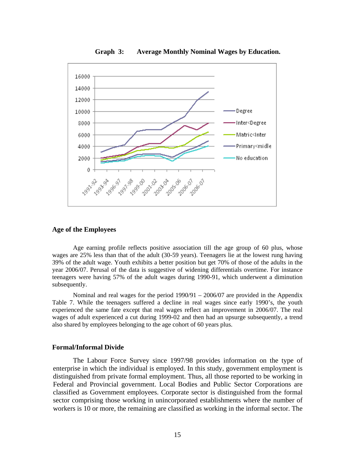

**Graph 3: Average Monthly Nominal Wages by Education.**

#### **Age of the Employees**

Age earning profile reflects positive association till the age group of 60 plus, whose wages are 25% less than that of the adult (30-59 years). Teenagers lie at the lowest rung having 39% of the adult wage. Youth exhibits a better position but get 70% of those of the adults in the year 2006/07. Perusal of the data is suggestive of widening differentials overtime. For instance teenagers were having 57% of the adult wages during 1990-91, which underwent a diminution subsequently.

Nominal and real wages for the period  $1990/91 - 2006/07$  are provided in the Appendix Table 7. While the teenagers suffered a decline in real wages since early 1990's, the youth experienced the same fate except that real wages reflect an improvement in 2006/07. The real wages of adult experienced a cut during 1999-02 and then had an upsurge subsequently, a trend also shared by employees belonging to the age cohort of 60 years plus.

#### **Formal/Informal Divide**

The Labour Force Survey since 1997/98 provides information on the type of enterprise in which the individual is employed. In this study, government employment is distinguished from private formal employment. Thus, all those reported to be working in Federal and Provincial government. Local Bodies and Public Sector Corporations are classified as Government employees. Corporate sector is distinguished from the formal sector comprising those working in unincorporated establishments where the number of workers is 10 or more, the remaining are classified as working in the informal sector. The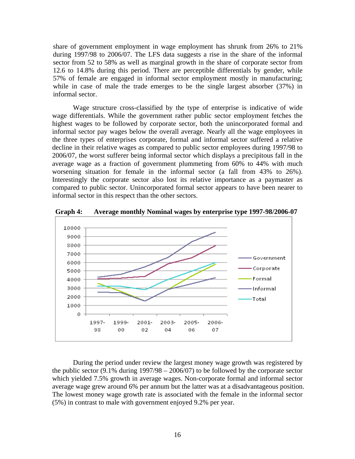share of government employment in wage employment has shrunk from 26% to 21% during 1997/98 to 2006/07. The LFS data suggests a rise in the share of the informal sector from 52 to 58% as well as marginal growth in the share of corporate sector from 12.6 to 14.8% during this period. There are perceptible differentials by gender, while 57% of female are engaged in informal sector employment mostly in manufacturing; while in case of male the trade emerges to be the single largest absorber (37%) in informal sector.

Wage structure cross-classified by the type of enterprise is indicative of wide wage differentials. While the government rather public sector employment fetches the highest wages to be followed by corporate sector, both the unincorporated formal and informal sector pay wages below the overall average. Nearly all the wage employees in the three types of enterprises corporate, formal and informal sector suffered a relative decline in their relative wages as compared to public sector employees during 1997/98 to 2006/07, the worst sufferer being informal sector which displays a precipitous fall in the average wage as a fraction of government plummeting from 60% to 44% with much worsening situation for female in the informal sector (a fall from 43% to 26%). Interestingly the corporate sector also lost its relative importance as a paymaster as compared to public sector. Unincorporated formal sector appears to have been nearer to informal sector in this respect than the other sectors.



**Graph 4: Average monthly Nominal wages by enterprise type 1997-98/2006-07**

During the period under review the largest money wage growth was registered by the public sector  $(9.1\%$  during  $1997/98 - 2006/07)$  to be followed by the corporate sector which yielded 7.5% growth in average wages. Non-corporate formal and informal sector average wage grew around 6% per annum but the latter was at a disadvantageous position. The lowest money wage growth rate is associated with the female in the informal sector (5%) in contrast to male with government enjoyed 9.2% per year.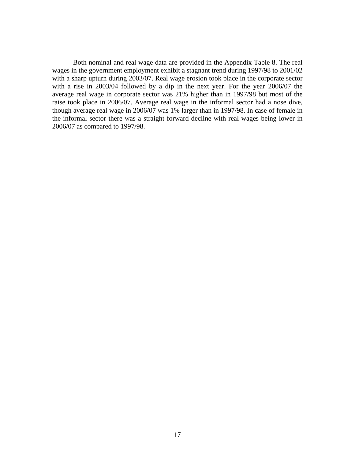Both nominal and real wage data are provided in the Appendix Table 8. The real wages in the government employment exhibit a stagnant trend during 1997/98 to 2001/02 with a sharp upturn during 2003/07. Real wage erosion took place in the corporate sector with a rise in 2003/04 followed by a dip in the next year. For the year 2006/07 the average real wage in corporate sector was 21% higher than in 1997/98 but most of the raise took place in 2006/07. Average real wage in the informal sector had a nose dive, though average real wage in 2006/07 was 1% larger than in 1997/98. In case of female in the informal sector there was a straight forward decline with real wages being lower in 2006/07 as compared to 1997/98.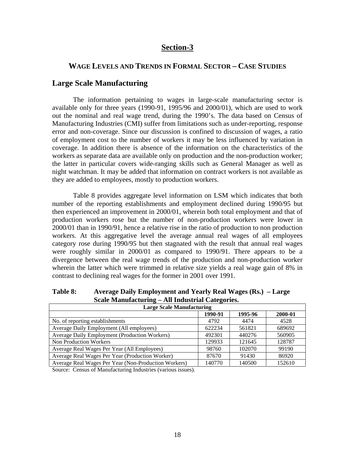#### **Section-3**

#### **WAGE LEVELS AND TRENDS IN FORMAL SECTOR – CASE STUDIES**

#### **Large Scale Manufacturing**

The information pertaining to wages in large-scale manufacturing sector is available only for three years (1990-91, 1995/96 and 2000/01), which are used to work out the nominal and real wage trend, during the 1990's. The data based on Censusof Manufacturing Industries (CMI) suffer from limitations such as under-reporting, response error and non-coverage. Since our discussion is confined to discussion of wages, aratio of employment cost to the number of workers it may be less influenced by variation in coverage. In addition there is absence of the information on the characteristics of the workers as separate data are available only on production and the non-production worker; the latter in particular covers wide-ranging skills such as General Manager as well as night watchman. It may be added that information on contract workers is not available as they are added to employees, mostly to production workers.

Table 8 provides aggregate level information on LSM which indicates that both number of the reporting establishments and employment declined during 1990/95 but then experienced an improvement in 2000/01, wherein both total employment and that of production workers rose but the number of non-production workers were lower in 2000/01 than in 1990/91, hence a relative rise in the ratio of production to non production workers. At this aggregative level the average annual real wages of all employees category rose during 1990/95 but then stagnated with the result that annual real wages were roughly similar in 2000/01 as compared to 1990/91. There appears to be a divergence between the real wage trends of the production and non-production worker wherein the latter which were trimmed in relative size yields a real wage gain of 8% in contrast to declining real wages for the former in 2001 over 1991.

**Table 8: Average Daily Employment and Yearly Real Wages (Rs.) – Large Scale Manufacturing – All Industrial Categories.** 

| <b>Large Scale Manufacturing</b>                       |                 |         |         |
|--------------------------------------------------------|-----------------|---------|---------|
|                                                        | 1990-91         | 1995-96 | 2000-01 |
| No. of reporting establishments                        | 4792            | 4474    | 4528    |
| Average Daily Employment (All employees)               | 622234<br>0444J | 561821  | 689692  |
| Average Daily Employment (Production Workers)          | 492301          | 440276  | 560905  |
| Non Production Workers                                 | 129933          | 121645  | 128787  |
| Average Real Wages Per Year (All Employees)            | 98760           | 102070  | 99190   |
| Average Real Wages Per Year (Production Worker)        | 87670           | 91430   | 86920   |
| ' Average Real Wages Per Year (Non-Production Workers) | 140770          | 140500  | 152610  |

Source: Census of Manufacturing Industries (various issues).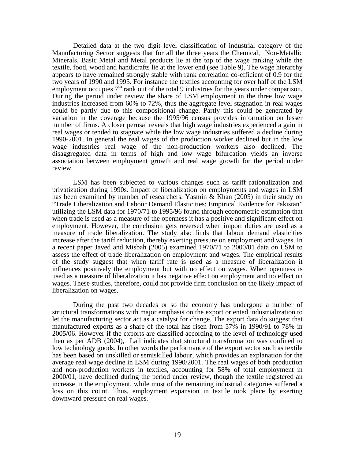Detailed data at the two digit level classification of industrial category of the Manufacturing Sector suggests that for all the three years the Chemical, Non-Metallic Minerals, Basic Metal and Metal products lie at the top of the wage ranking while the textile, food, wood and handicrafts lie at the lower end (see Table 9). The wage hierarchy appears to have remained strongly stable with rank correlation co-efficient of 0.9 for the two years of 1990 and 1995. For instance the textiles accounting for over half of the LSM employment occupies  $7<sup>th</sup>$  rank out of the total 9 industries for the years under comparison. During the period under review the share of LSM employment in the three low wage industries increased from 60% to 72%, thus the aggregate level stagnation in real wages could be partly due to this compositional change. Partly this could be generated by variation in the coverage because the 1995/96 census provides information on lesser number of firms. A closer perusal reveals that high wage industries experienced a gain in real wages or tended to stagnate while the low wage industries suffered a decline during 1990-2001. In general the real wages of the production worker declined but in the low wage industries real wage of the non-production workers also declined. The disaggregated data in terms of high and low wage bifurcation yields an inverse association between employment growth and real wage growth for the period under review.

LSM has been subjected to various changes such as tariff rationalization and privatization during 1990s. Impact of liberalization on employments and wages in LSM has been examined by number of researchers. Yasmin & Khan (2005) in their study on "Trade Liberalization and Labour Demand Elasticities: Empirical Evidence for Pakistan" utilizing the LSM data for 1970/71 to 1995/96 found through econometric estimation that when trade is used as a measure of the openness it has a positive and significant effect on employment. However, the conclusion gets reversed when import duties are used as a measure of trade liberalization. The study also finds that labour demand elasticities increase after the tariff reduction, thereby exerting pressure on employment and wages. In a recent paper Javed and Misbah (2005) examined 1970/71 to 2000/01 data on LSM to assess the effect of trade liberalization on employment and wages. The empirical results of the study suggest that when tariff rate is used as a measure of liberalization it influences positively the employment but with no effect on wages. When openness is used as a measure of liberalization it has negative effect on employment and no effect on wages. These studies, therefore, could not provide firm conclusion on the likely impact of liberalization on wages.

During the past two decades or so the economy has undergone a number of structural transformations with major emphasis on the export oriented industrialization to let the manufacturing sector act as a catalyst for change. The export data do suggest that manufactured exports as a share of the total has risen from 57% in 1990/91 to 78% in 2005/06. However if the exports are classified according to the level of technology used then as per ADB (2004), Lall indicates that structural transformation was confined to low technology goods. In other words the performance of the export sector such as textile has been based on unskilled or semiskilled labour, which provides an explanation for the average real wage decline in LSM during 1990/2001. The real wages of both production and non-production workers in textiles, accounting for 58% of total employment in 2000/01, have declined during the period under review, though the textile registered an increase in the employment, while most of the remaining industrial categories suffered a loss on this count. Thus, employment expansion in textile took place by exerting downward pressure on real wages.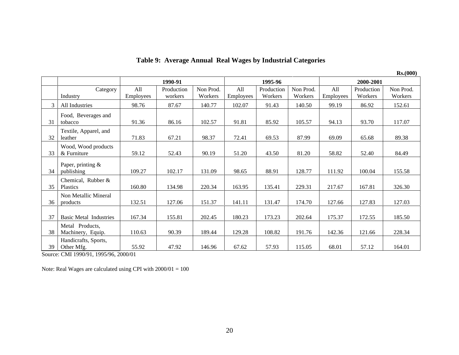|                           |           |            |           |           |            |           |                     |            | Rs. (000) |
|---------------------------|-----------|------------|-----------|-----------|------------|-----------|---------------------|------------|-----------|
|                           |           | 1990-91    |           |           | 1995-96    |           |                     | 2000-2001  |           |
| Category                  | - A11     | Production | Non Prod. | All       | Production | Non Prod. | All                 | Production | Non Prod. |
| Industry                  | Employees | workers    | Workers   | Employees | Workers    | Workers   | $\cdot$   Employees | Workers    | Workers   |
| All Industries            | 98.76     | 87.67      | 140.77    | 102.07    | 91.43      | 140.50    | 99.19               | 86.92      | 152.61    |
| Food, Beverages and       |           |            |           |           |            |           |                     |            |           |
| 31 tobacco                | 91.36     | 86.16      | 102.57    | 91.81     | 85.92      | 105.57    | 94.13               | 93.70      | 117.07    |
| Textile, Apparel, and     |           |            |           |           |            |           |                     |            |           |
| 32 leather                | 71.83     | 67.21      | 98.37     | 72.41     | 69.53      | 87.99     | 69.09               | 65.68      | 89.38     |
| Wood, Wood products       |           |            |           |           |            |           |                     |            |           |
| $33 \mid \&$ Furniture    | 59.12     | 52.43      | 90.19     | 51.20     | 43.50      | 81.20     | 58.82               | 52.40      | 84.49     |
| Paper, printing &         |           |            |           |           |            |           |                     |            |           |
| 34 publishing             | 109.27    | 102.17     | 131.09    | 98.65     | 88.91      | 128.77    | 111.92              | 100.04     | 155.58    |
| Chemical, Rubber &        |           |            |           |           |            |           |                     |            |           |
| 35 Plastics               | 160.80    | 134.98     | 220.34    | 163.95    | 135.41     | 229.31    | 217.67              | 167.81     | 326.30    |
| Non Metallic Mineral      |           |            |           |           |            |           |                     |            |           |
| products<br>36.           | 132.51    | 127.06     | 151.37    | 141.11    | 131.47     | 174.70    | 127.66              | 127.83     | 127.03    |
|                           |           |            |           |           |            |           |                     |            |           |
| 37 Basic Metal Industries | 167.34    | 155.81     | 202.45    | 180.23    | 173.23     | 202.64    | 175.37              | 172.55     | 185.50    |
| Metal Products,           |           |            |           |           |            |           |                     |            |           |
| 38 Machinery, Equip.      | 110.63    | 90.39      | 189.44    | 129.28    | 108.82     | 191.76    | 142.36              | 121.66     | 228.34    |
| Handicrafts, Sports,      |           |            |           |           |            |           |                     |            |           |
| 39 Other Mfg.             | 55.92     | 47.92      | 146.96    | 67.62     | 57.93      | 115.05    | 68.01               | 57.12      | 164.01    |

**Table 9: Average Annual Real Wages by Industrial Categories**

Source: CMI 1990/91, 1995/96, 2000/01

Note: Real Wages are calculated using CPI with 2000/01 = 100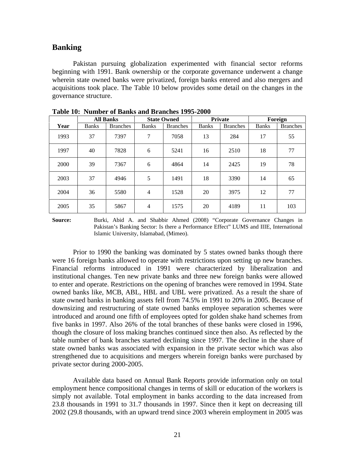#### **Banking**

Pakistan pursuing globalization experimented with financial sector reforms beginning with 1991. Bank ownership or the corporate governance underwent a change wherein state owned banks were privatized, foreign banks entered and also mergers and acquisitions took place. The Table 10 below provides some detail on the changes in the governance structure.

|      |              | <b>All Banks</b> |                | <b>State Owned</b> |       | Private         |       | Foreign         |
|------|--------------|------------------|----------------|--------------------|-------|-----------------|-------|-----------------|
| Year | <b>Banks</b> | <b>Branches</b>  | <b>Banks</b>   | <b>Branches</b>    | Banks | <b>Branches</b> | Banks | <b>Branches</b> |
| 1993 | 37           | 7397             | $\overline{a}$ | 7058               | 13    | 284             | 17    | 55              |
| 1997 | - 40         | 7828             | 6              | 5241               | 16    | 2510            | 18    | 77              |
| 2000 | 39           | 7367             | 6              | 4864               | 14    | 2425            | 19    | 78              |
| 2003 | 37           | 4946             |                | 1491               | 18    | 3390            | 14    | 65              |
| 2004 | 36           | 5580             |                | 1528               | 20    | 3975            | 12    | 77              |
| 2005 | 35           | 5867             |                | 1575               | 20    | 4189            | 11    | 103             |

**Table 10: Number of Banks and Branches 1995-2000**

**Source:** Burki, Abid A. and Shabbir Ahmed (2008) "Corporate Governance Changes in Pakistan's Banking Sector: Is there a Performance Effect" LUMS and IIIE, International Islamic University, Islamabad, (Mimeo).

Prior to 1990 the banking was dominated by 5 states owned banks though there were 16 foreign banks allowed to operate with restrictions upon setting up new branches. Financial reforms introduced in 1991 were characterized by liberalization and institutional changes. Ten new private banks and three new foreign banks were allowed to enter and operate. Restrictions on the opening of branches were removed in 1994. State owned banks like, MCB, ABL, HBL and UBL were privatized. As a result the share of state owned banks in banking assets fell from 74.5% in 1991 to 20% in 2005. Because of downsizing and restructuring of state owned banks employee separation schemes were introduced and around one fifth of employees opted for golden shake hand schemes from five banks in 1997. Also 26% of the total branches of these banks were closed in 1996, though the closure of loss making branches continued since then also. As reflected by the table number of bank branches started declining since 1997. The decline in the share of state owned banks was associated with expansion in the private sector which was also strengthened due to acquisitions and mergers wherein foreign banks were purchased by private sector during 2000-2005.

Available data based on Annual Bank Reports provide information only on total employment hence compositional changes in terms of skill or education of the workers is simply not available. Total employment in banks according to the data increased from 23.8 thousands in 1991 to 31.7 thousands in 1997. Since then it kept on decreasing till 2002 (29.8 thousands, with an upward trend since 2003 wherein employment in 2005 was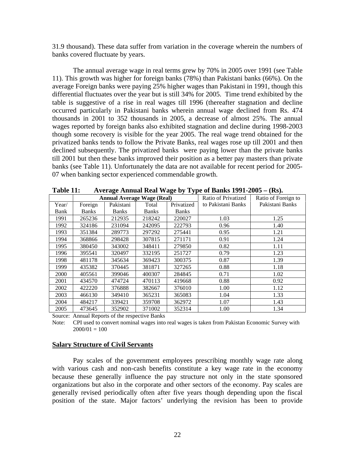31.9 thousand). These data suffer from variation in the coverage wherein the numbers of banks covered fluctuate by years.<br>The annual average wage in real terms grew by 70% in 2005 over 1991 (see Table

11). This growth was higher for foreign banks (78%) than Pakistani banks (66%). On the average Foreign banks were paying 25% higher wages than Pakistani in 1991, though this differential fluctuates over the year but is still 34% for 2005. Time trend exhibited by the table is suggestive of a rise in real wages till 1996 (thereafter stagnation and decline occurred particularly in Pakistani banks wherein annual wage declined from Rs. 474 thousands in 2001 to 352 thousands in 2005, a decrease of almost 25%. The annual wages reported by foreign banks also exhibited stagnation and decline during 1998-2003 though some recovery is visible for the year 2005. The real wage trend obtained for the privatized banks tends to follow the Private Banks, real wages rose up till 2001 and then declined subsequently. The privatized banks were paying lower than the private banks till 2001 but then these banks improved their position as a better pay masters than private banks (see Table 11). Unfortunately the data are not available for recent period for 2005- 07 when banking sector experienced commendable growth.

| Table 11: |              |                                   |        |            | Average Annual Real Wage by Type of Banks $1991-2005 - (Rs).$ |                     |
|-----------|--------------|-----------------------------------|--------|------------|---------------------------------------------------------------|---------------------|
|           |              | <b>Annual Average Wage (Real)</b> |        |            | <b>Ratio of Privatized</b>                                    | Ratio of Foreign to |
| Year/     | Foreign      | Pakistani                         | Total  | Privatized | to Pakistani Banks                                            | Pakistani Banks     |
| Bank      | <b>Banks</b> | <b>Banks</b>                      | Banks  | Banks      |                                                               |                     |
| 1991      | 265236       | 212935                            | 218242 | 220027     | 1.03                                                          | 1.25                |
| 1992      | 324186       | 231094                            | 242095 | 222793     | 0.96                                                          | 1.40                |
| 1993      | 351384       | 289773                            | 297292 | 275441     | 0.95                                                          | 1.21                |
| 1994      | 368866       | 298428                            | 307815 | 271171     | 0.91                                                          | 1.24                |
| 1995      | 380450       | 343002                            | 348411 | 279850     | 0.82                                                          | 1.11                |
| 1996      | 395541       | 320497                            | 332195 | 251727     | 0.79                                                          | 1.23                |
| 1998      | 481178       | 345634                            | 369423 | 300375     | 0.87                                                          | 1.39                |
| 1999      | 435382       | 370445                            | 381871 | 327265     | 0.88                                                          | 1.18                |
| 2000      | 405561       | 399046                            | 400307 | 284845     | 0.71                                                          | 1.02                |
| 2001      | 434570       | 474724                            | 470113 | 419668     | 0.88                                                          | 0.92                |
| 2002      | 422220       | 376888                            | 382667 | 376010     | 1.00                                                          | 1.12                |
| 2003      | 466130       | 349410                            | 365231 | 365083     | 1.04                                                          | 1.33                |
| 2004      | 484217       | 339421                            | 359708 | 362972     | 1.07                                                          | 1.43                |
| 2005      | 473645       | 352902                            | 371002 | 352314     | 1.00                                                          | 1.34                |

Source: Annual Reports of the respective Banks

Note: CPI used to convert nominal wages into real wages is taken from Pakistan Economic Survey with  $2000/01 = 100$ 

#### **Salary Structure of Civil Servants**

Pay scales of the government employees prescribing monthly wage rate along with various cash and non-cash benefits constitute a key wage rate in the economy because these generally influence the pay structure not only in the state sponsored organizations but also in the corporate and other sectors of the economy. Pay scales are generally revised periodically often after five years though depending upon the fiscal position of the state. Major factors' underlying the revision has been to provide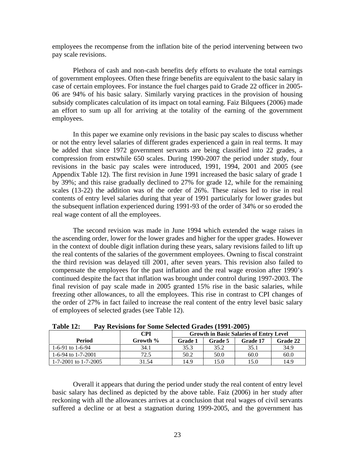employees the recompense from the inflation bite of the period intervening between two pay scale revisions.

Plethora of cash and non-cash benefits defy efforts to evaluate the total earnings of government employees. Often these fringe benefits are equivalent to the basic salary in case of certain employees. For instance the fuel charges paid to Grade 22 officer in 2005- 06 are 94% of his basic salary. Similarly varying practices in the provision of housing subsidy complicates calculation of its impact on total earning. Faiz Bilquees (2006) made an effort to sum up all for arriving at the totality of the earning of the government employees.

In this paper we examine only revisions in the basic pay scales to discuss whether or not the entry level salaries of different grades experienced a gain in real terms. It may be added that since 1972 government servants are being classified into 22 grades, a compression from erstwhile 650 scales. During 1990-2007 the period under study, four revisions in the basic pay scales were introduced, 1991, 1994, 2001 and 2005 (see Appendix Table 12). The first revision in June 1991 increased the basic salary of grade 1 by 39%; and this raise gradually declined to 27% for grade 12, while for the remaining scales (13-22) the addition was of the order of 26%. These raises led to rise in real contents of entry level salaries during that year of 1991 particularly for lower grades but the subsequent inflation experienced during 1991-93 of the order of 34% or so eroded the real wage content of all the employees.

The second revision was made in June 1994 which extended the wage raises in the ascending order, lower for the lower grades and higher for the upper grades. However in the context of double digit inflation during these years, salary revisions failed to lift up the real contents of the salaries of the government employees. Owning to fiscal constraint the third revision was delayed till 2001, after seven years. This revision also failed to compensate the employees for the past inflation and the real wage erosion after 1990's continued despite the fact that inflation was brought under control during 1997-2003. The final revision of pay scale made in 2005 granted 15% rise in the basic salaries, while freezing other allowances, to all the employees. This rise in contrast to CPIchanges of the order of 27% in fact failed to increase the real content of the entry level basic salary of employees of selected grades (see Table 12).

|                                       | $  -$    |        | Growth in Basic Salaries of Entry Level |                                   |
|---------------------------------------|----------|--------|-----------------------------------------|-----------------------------------|
| Period                                | Growth   | Crode: |                                         | $\overline{\phantom{a}}$ Grade 22 |
| $\sim$ 1 6 0 $\Lambda$<br>3-71 W 1-0- |          |        |                                         |                                   |
| 1-6-94 to 1-7-2001                    |          |        |                                         |                                   |
| $1-7-2001$ to $1-7-2005$              | $     -$ | 149    | 1.J.U                                   | 140                               |

**Table 12: Pay Revisions for Some Selected Grades (1991-2005)**

Overall it appears that during the period under study the real content of entry level basic salary has declined as depicted by the above table. Faiz (2006) in her study after reckoning with all the allowances arrives at a conclusion that real wages of civil servants suffered a decline or at best a stagnation during 1999-2005, and the government has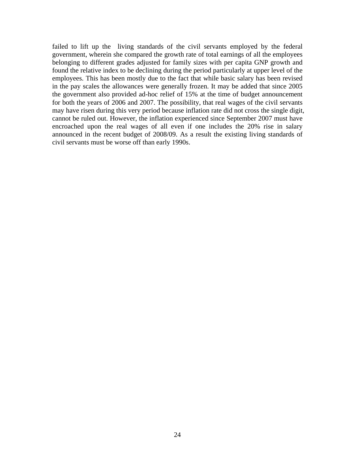failed to lift up the living standards of the civil servants employed by the federal government, wherein she compared the growth rate of total earnings of all the employees belonging to different grades adjusted for family sizes with per capita GNP growth and found the relative index to be declining during the period particularly at upper level of the employees. This has been mostly due to the fact that while basic salary has been revised in the pay scales the allowances were generally frozen. It may be added that since 2005 the government also provided ad-hoc relief of 15% at the time of budget announcement for both the years of 2006 and 2007. The possibility, that real wages of the civil servants may have risen during this very period because inflation rate did not cross the single digit, cannot be ruled out. However, the inflation experienced since September 2007 must have encroached upon the real wages of all even if one includes the 20% rise in salary announced in the recent budget of 2008/09. As a result the existing living standards of civil servants must be worse off than early 1990s.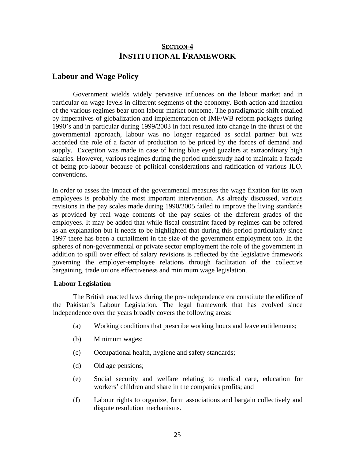### **SECTION-4 INSTITUTIONAL FRAMEWORK**

#### **Labour and Wage Policy**

Government wields widely pervasive influences on the labour market and in particular on wage levels in different segments of the economy. Both action and inaction of the various regimes bear upon labour market outcome. The paradigmatic shift entailed by imperatives of globalization and implementation of IMF/WB reform packages during 1990's and in particular during 1999/2003 in fact resulted into change in the thrust of the governmental approach, labour was no longer regarded as social partner but was accorded the role of a factor of production to be priced by the forces of demand and supply. Exception was made in case of hiring blue eyed guzzlers at extraordinary high salaries. However, various regimes during the period understudy had to maintain a façade of being pro-labour because of political considerations and ratification of various ILO. conventions.

In order to asses the impact of the governmental measures the wage fixation forits own employees is probably the most important intervention. As already discussed, various revisions in the pay scales made during 1990/2005 failed to improve the living standards as provided by real wage contents of the pay scales of the different grades of the employees. It may be added that while fiscal constraint faced by regimes can be offered as an explanation but it needs to be highlighted that during this period particularly since 1997 there has been a curtailment in the size of the government employment too. In the spheres of non-governmental or private sector employment the role of the government in addition to spill over effect of salary revisions is reflected by the legislative framework governing the employer-employee relations through facilitation of the collective bargaining, trade unions effectiveness and minimum wage legislation.

#### **Labour Legislation**

The British enacted laws during the pre-independence era constitute the edifice of the Pakistan's Labour Legislation. The legal framework that has evolved since independence over the years broadly covers the following areas:

- (a) Working conditions that prescribe working hours and leave entitlements;
- (b) Minimum wages;
- (c) Occupational health, hygiene and safety standards;
- (d) Old age pensions;
- (e) Social security and welfare relating to medical care, education for workers' children and share in the companies profits; and
- (f) Labour rights to organize, form associations and bargain collectively and dispute resolution mechanisms.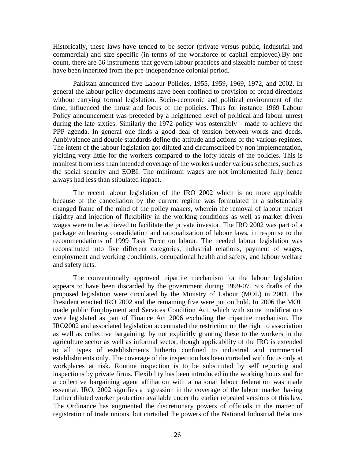Historically, these laws have tended to be sector (private versus public, industrial and commercial) and size specific (in terms of the workforce or capital employed).By one count, there are 56 instruments that govern labour practices and sizeable number of these have been inherited from the pre-independence colonial period.

Pakistan announced five Labour Policies, 1955, 1959, 1969, 1972, and 2002. In general the labour policy documents have been confined to provision of broad directions without carrying formal legislation. Socio-economic and political environment of the time, influenced the thrust and focus of the policies. Thus for instance 1969 Labour Policy announcement was preceded by a heightened level of political and labour unrest during the late sixties. Similarly the 1972 policy was ostensibly made to achieve the PPP agenda. In general one finds a good deal of tension between words and deeds. Ambivalence and double standards define the attitude and actions of the various regimes. The intent of the labour legislation got diluted and circumscribed by non implementation, yielding very little for the workers compared to the lofty ideals of the policies. This is manifest from less than intended coverage of the workers under various schemes, such as the social security and EOBI. The minimum wages are not implemented fully hence always had less than stipulated impact.

The recent labour legislation of the IRO 2002 which is no more applicable because of the cancellation by the current regime was formulated in a substantially changed frame of the mind of the policy makers, wherein the removal of labour market rigidity and injection of flexibility in the working conditions as well as market driven wages were to be achieved to facilitate the private investor. The IRO 2002 was part of a package embracing consolidation and rationalization of labour laws, in response to the recommendations of 1999 Task Force on labour. The needed labour legislation was reconstituted into five different categories, industrial relations, payment of wages, employment and working conditions, occupational health and safety, and labour welfare and safety nets.

The conventionally approved tripartite mechanism for the labour legislation appears to have been discarded by the government during 1999-07. Six drafts of the proposed legislation were circulated by the Ministry of Labour (MOL) in 2001. The President enacted IRO 2002 and the remaining fivewere put on hold. In 2006 the MOL made public Employment and Services Condition Act, which with some modifications were legislated as part of Finance Act 2006 excluding the tripartite mechanism. The IRO2002 and associated legislation accentuated the restriction on the right to association as well as collective bargaining, by not explicitly granting these to the workers in the agriculture sector as well as informal sector, though applicability of the IRO is extended to all types of establishments hitherto confined to industrial and commercial establishments only. The coverage of the inspection has been curtailed with focus only at workplaces at risk. Routine inspection is to be substituted by self reporting and inspections by private firms. Flexibility has been introduced in the working hours and for a collective bargaining agent affiliation with a national labour federation was made essential. IRO, 2002 signifies a regression in the coverage of the labour market having further diluted worker protection available under the earlier repealed versions of this law. The Ordinance has augmented the discretionary powers of officials in the matter of registration of trade unions, but curtailed the powers of the National Industrial Relations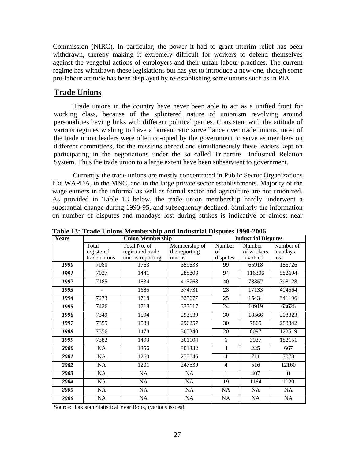Commission (NIRC). In particular, the power it had to grant interim relief has been withdrawn, thereby making it extremely difficult for workers to defend themselves against the vengeful actions of employers and their unfair labour practices. The current regime has withdrawn these legislations but has yet to introduce a new-one, though some pro-labour attitude has been displayed by re-establishing some unions such as in PIA.

#### **Trade Unions**

Trade unions in the country have never been able to act as a unified front for working class, because of the splintered nature of unionism revolving around personalities having links with different political parties. Consistent with the attitude of various regimes wishing to have a bureaucratic surveillance over trade unions, most of the trade union leaders were often co-opted by the government to serve as members on different committees, for the missions abroad and simultaneously these leaders kept on participating in the negotiations under the so called Tripartite Industrial Relation System. Thus the trade union to a large extent have been subservient to government.

Currently the trade unions are mostly concentrated in Public Sector Organizations like WAPDA, in the MNC, and in the large private sector establishments. Majority of the wage earners in the informal as well as formal sector and agriculture are not unionized.<br>As provided in Table 13 below, the trade union membership hardly underwent a substantial change during 1990-95, and subsequently declined. Similarly the information on number of disputes and mandays lost during strikes is indicative of almost near

| Years             |                      | <b>Union Membership</b> | $\overline{\phantom{a}}$ $\overline{\phantom{a}}$ $\overline{\phantom{a}}$ $\overline{\phantom{a}}$ $\overline{\phantom{a}}$ $\overline{\phantom{a}}$ $\overline{\phantom{a}}$ $\overline{\phantom{a}}$ $\overline{\phantom{a}}$ $\overline{\phantom{a}}$ $\overline{\phantom{a}}$ $\overline{\phantom{a}}$ $\overline{\phantom{a}}$ $\overline{\phantom{a}}$ $\overline{\phantom{a}}$ $\overline{\phantom{a}}$ $\overline{\phantom{a}}$ $\overline{\phantom{a}}$ $\overline{\$ |          | <b>Industrial Disputes</b> |           |
|-------------------|----------------------|-------------------------|---------------------------------------------------------------------------------------------------------------------------------------------------------------------------------------------------------------------------------------------------------------------------------------------------------------------------------------------------------------------------------------------------------------------------------------------------------------------------------|----------|----------------------------|-----------|
|                   | Total                | Total No. of            | Membership of Number Number                                                                                                                                                                                                                                                                                                                                                                                                                                                     |          |                            | Number of |
|                   | registered           | registered trade        | the reporting                                                                                                                                                                                                                                                                                                                                                                                                                                                                   |          | of workers   mandays       |           |
|                   | trade unions         | unions reporting        | unions                                                                                                                                                                                                                                                                                                                                                                                                                                                                          | disputes | involved                   | lost      |
| 1990              | 7080                 | 1763                    | 359633                                                                                                                                                                                                                                                                                                                                                                                                                                                                          | 99       | 65918                      | 186726    |
| 1991              | 7027                 | 1441                    | 288803                                                                                                                                                                                                                                                                                                                                                                                                                                                                          | 94       | 116306                     | 582694    |
| 1992              | 7185                 | 1834                    | 415768                                                                                                                                                                                                                                                                                                                                                                                                                                                                          | 40       | 73357                      | 398128    |
| 1993              | $\sim 100$ m $^{-1}$ | 1685                    | 374731                                                                                                                                                                                                                                                                                                                                                                                                                                                                          |          | 17133                      | 404564    |
| 1994              | 7273                 | 1718                    | 325677                                                                                                                                                                                                                                                                                                                                                                                                                                                                          | 25       | 15434                      | 341196    |
| 1995              | 7426                 | 1718                    | 337617                                                                                                                                                                                                                                                                                                                                                                                                                                                                          | 24       | 10919                      | 63626     |
| 1996              | 7349                 | 1594                    | 293530                                                                                                                                                                                                                                                                                                                                                                                                                                                                          | 30       | 18566                      | 203323    |
| 1997              | 7355                 | 1534                    | 296257                                                                                                                                                                                                                                                                                                                                                                                                                                                                          | 30       | 7865                       | 283342    |
|                   |                      | 1478                    |                                                                                                                                                                                                                                                                                                                                                                                                                                                                                 |          |                            | 122519    |
| 1988              | 7356                 |                         | 305340                                                                                                                                                                                                                                                                                                                                                                                                                                                                          | 20       | 6097                       |           |
| 1999              | 7382                 | 1493                    | 301104                                                                                                                                                                                                                                                                                                                                                                                                                                                                          |          | 3937                       | 182151    |
| $\overline{2000}$ | NA                   | 1356                    | 301332                                                                                                                                                                                                                                                                                                                                                                                                                                                                          |          | 225                        | 667       |
| 2001              | NA                   | 1260                    | 275646                                                                                                                                                                                                                                                                                                                                                                                                                                                                          |          | 11                         | 7078      |
| 2002              | NA                   | 1201                    | 247539                                                                                                                                                                                                                                                                                                                                                                                                                                                                          |          | 516                        | 12160     |
| 2003              | NA                   | NA                      | NA                                                                                                                                                                                                                                                                                                                                                                                                                                                                              |          | 407                        | $\Omega$  |
| 2004              | NA                   | NA                      | NA                                                                                                                                                                                                                                                                                                                                                                                                                                                                              | 19       | 1164                       | 1020      |
| 2005              | NA                   | NA                      | NA                                                                                                                                                                                                                                                                                                                                                                                                                                                                              | NA       | NA.                        | NA        |
| 2006              | NA                   | NA                      | NA                                                                                                                                                                                                                                                                                                                                                                                                                                                                              | NA       | NA                         | NA        |
|                   |                      |                         |                                                                                                                                                                                                                                                                                                                                                                                                                                                                                 |          |                            |           |

**Table 13: Trade Unions Membership and Industrial Disputes 1990-2006**

Source: Pakistan Statistical Year Book, (various issues).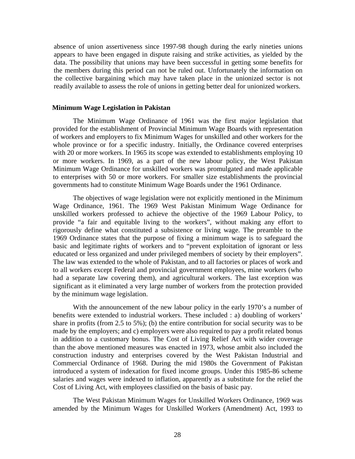absence of union assertiveness since 1997-98 though during the early nineties unions appears to have been engaged in dispute raising and strike activities, as yielded by the data. The possibility that unions may have been successful in getting some benefits for the members during this period can not be ruled out. Unfortunately the information on the collective bargaining which may have taken place in the unionized sector is not readily available to assess the role of unions in getting better deal for unionized workers.

#### **Minimum Wage Legislation in Pakistan**

The Minimum Wage Ordinance of 1961 was the first major legislation that provided for the establishment of Provincial Minimum Wage Boards with representation of workers and employers to fix Minimum Wages for unskilled and other workers for the whole province or for a specific industry. Initially, the Ordinance covered enterprises with 20 or more workers. In 1965 its scope was extended to establishments employing 10 or more workers. In 1969, as a part of the new labour policy, the West Pakistan Minimum Wage Ordinance for unskilled workers was promulgated and made applicable to enterprises with 50 or more workers. For smaller size establishments the provincial governments had to constitute Minimum Wage Boards under the 1961 Ordinance.

The objectives of wage legislation were not explicitly mentioned in the Minimum Wage Ordinance, 1961. The 1969 West Pakistan Minimum Wage Ordinance for unskilled workers professed to achieve the objective of the 1969 Labour Policy, to provide "a fair and equitable living to the workers", without making any effort to rigorously define what constituted a subsistence or living wage. The preamble to the 1969 Ordinance states that the purpose of fixing a minimum wage is to safeguard the basic and legitimate rights of workers and to "prevent exploitation of ignorant or less educated or less organized and under privileged members of society by their employers". The law was extended to the whole of Pakistan, and to all factories or places of work and to all workers except Federal and provincial government employees, mine workers (who had a separate law covering them), and agricultural workers. The last exception was significant as it eliminated a very large number of workers from the protection provided by the minimum wage legislation.

With the announcement of the new labour policy in the early 1970's a number of benefits were extended to industrial workers. These included : a) doubling of workers' share in profits (from 2.5 to 5%); (b) the entire contribution for social security was to be made by the employers; and c) employers were also required to pay a profit related bonus in addition to a customary bonus. The Cost of Living Relief Act with wider coverage than the above mentioned measures was enacted in 1973, whose ambit also included the construction industry and enterprises covered by the West Pakistan Industrial and Commercial Ordinance of 1968. During the mid 1980s the Government of Pakistan introduced a system of indexation for fixed income groups. Under this 1985-86 scheme salaries and wages were indexed to inflation, apparently as a substitute for the relief the Cost of Living Act, with employees classified on the basis of basic pay.

The West Pakistan Minimum Wages for Unskilled Workers Ordinance, 1969 was amended by the Minimum Wages for Unskilled Workers (Amendment) Act, 1993 to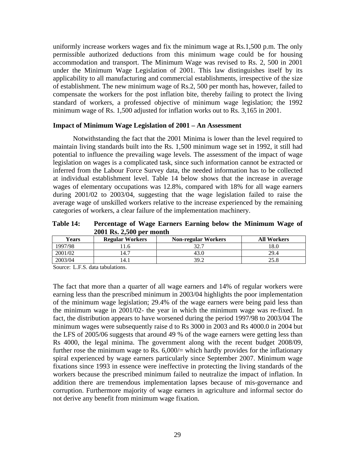uniformly increase workers wages and fix the minimum wageat Rs.1,500 p.m. The only permissible authorized deductions from this minimum wage could be for housing accommodation and transport. The Minimum Wage was revised to Rs. 2, 500 in 2001 under the Minimum Wage Legislation of 2001. This law distinguishes itself by its applicability to all manufacturing and commercial establishments, irrespective of the size of establishment. The new minimum wage of Rs.2, 500 per month has, however, failed to compensate the workers for the post inflation bite, thereby failing to protect the living standard of workers, a professed objective of minimum wage legislation; the 1992 minimum wage of Rs. 1,500 adjusted for inflation works out to Rs. 3,165 in 2001.

#### **Impact of Minimum Wage Legislation of 2001 – An Assessment**

Notwithstanding the fact that the 2001 Minima is lower than the level required to maintain living standards built into the Rs. 1,500 minimum wage set in 1992, it still had potential to influence the prevailing wage levels. The assessment of the impact of wage legislation on wages is a complicated task, since such information cannot be extracted or inferred from the Labour Force Survey data, the needed information has to be collected at individual establishment level. Table 14 below shows that the increase in average wages of elementary occupations was 12.8%, compared with 18% for all wage earners during 2001/02 to 2003/04, suggesting that the wage legislation failed to raise the average wage of unskilled workers relative to the increase experienced by the remaining categories of workers, a clear failure of the implementation machinery.

**Table 14: Percentage of Wage Earners Earning below the Minimum Wage of 2001 Rs. 2,500 per month**

| <b>Years</b> | <b>Regular Workers</b> | <b>Non-regular Workers</b> | <b>All Workers</b> |
|--------------|------------------------|----------------------------|--------------------|
| 1997/98      | <b>44.</b><br>.        |                            | 1 U.U              |
| 2001/02      | $1 + 1$                |                            |                    |
| 2003/04      |                        |                            | ---                |

Source: L.F.S. data tabulations.

The fact that more than a quarter of all wage earners and 14% of regular workers were earning less than the prescribed minimum in 2003/04 highlights the poor implementation of the minimum wage legislation; 29.4% of the wage earners were being paid less than the minimum wage in 2001/02- the year in which the minimum wage was re-fixed. In fact, the distribution appears to have worsened during the period 1997/98 to 2003/04 The minimum wages were subsequently raise d to Rs 3000 in 2003 and Rs 4000.0 in 2004 but the LFS of 2005/06 suggests that around 49 % of the wage earners were getting less than Rs 4000, the legal minima. The government along with the recent budget 2008/09, further rose the minimum wage to Rs. 6,000/= which hardly provides for the inflationary spiral experienced by wage earners particularly since September 2007. Minimum wage fixations since 1993 in essence were ineffective in protecting the living standards of the workers because the prescribed minimum failed to neutralize the impact of inflation. In addition there are tremendous implementation lapses because of mis-governance and corruption. Furthermore majority of wage earners in agriculture and informal sector do not derive any benefit from minimum wage fixation.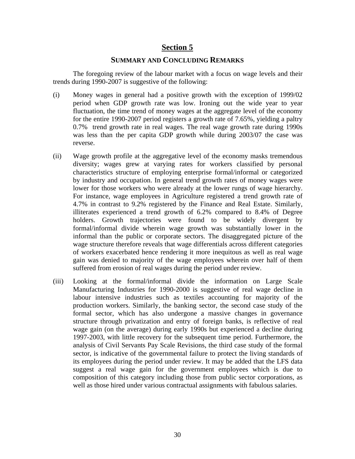### **Section 5**

#### **SUMMARY AND CONCLUDING REMARKS**

The foregoing review of the labour market with a focus on wage levels and their trends during 1990-2007 is suggestive of the following:

- (i) Money wages in general had a positive growth with the exception of 1999/02 period when GDP growth rate was low. Ironing out the wide year to year fluctuation, the time trend of money wages at the aggregate level of the economy for the entire 1990-2007 period registers a growth rate of 7.65%, yielding a paltry 0.7% trend growth rate in real wages. The real wage growth rate during 1990s was less than the per capita GDP growth while during 2003/07 the case was reverse.
- (ii) Wage growth profile at the aggregative level of the economy masks tremendous diversity; wages grew at varying rates for workers classified by personal characteristics structure of employing enterprise formal/informal or categorized by industry and occupation. In general trend growth rates of money wages were lower for those workers who were already at the lower rungs of wage hierarchy. For instance, wage employees in Agriculture registered a trend growth rate of 4.7% in contrast to 9.2% registered by the Finance and Real Estate. Similarly, illiterates experienced a trend growth of 6.2% compared to 8.4% of Degree holders. Growth trajectories were found to be widely divergent by formal/informal divide wherein wage growth was substantially lower in the informal than the public or corporate sectors. The disaggregated picture of the wage structure therefore reveals that wage differentials across different categories of workers exacerbated hence rendering it more inequitous as well as real wage gain was denied to majority of the wage employees wherein over half of them suffered from erosion of real wages during the period under review.
- (iii) Looking at the formal/informal divide the information on Large Scale Manufacturing Industries for 1990-2000 is suggestive of real wage decline in labour intensive industries such as textiles accounting for majority of the production workers. Similarly, the banking sector, the second case study of the formal sector, which has also undergone a massive changes in governance structure through privatization and entry of foreign banks, is reflective of real wage gain (on the average) during early 1990s but experienced a decline during 1997-2003, with little recovery for the subsequent time period. Furthermore, the analysis of Civil Servants Pay Scale Revisions, the third case study of the formal sector, is indicative of the governmental failure to protect the living standards of its employees during the period under review. It may be added that the LFS data suggest a real wage gain for the government employees which is due to composition of this category including those from public sector corporations, as well as those hired under various contractual assignments with fabulous salaries.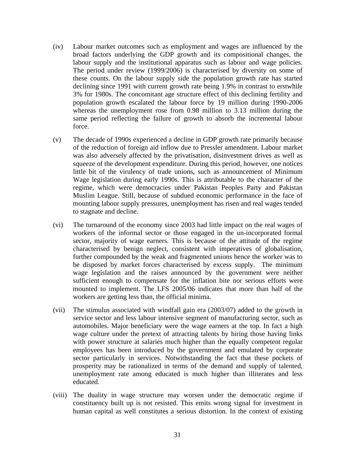- (iv) Labour market outcomes such as employment and wages are influenced by the broad factors underlying the GDP growth and its compositional changes, the labour supply and the institutional apparatus such as labour and wage policies. The period under review (1999/2006) is characterised by diversity on some of these counts. On the labour supply side the population growth rate has started declining since 1991 with current growth rate being 1.9% in contrast to erstwhile 3% for 1980s. The concomitant age structure effect of this declining fertility and population growth escalated the labour force by 19 million during 1990-2006 whereas the unemployment rose from 0.98 million to 3.13 million during the same period reflecting the failure of growth to absorb the incremental labour
- force.<br>(v) The decade of 1990s experienced a decline in GDP growth rate primarily because of the reduction of foreign aid inflow due to Pressler amendment. Labour market was also adversely affected by the privatisation, disinvestment drives as well as squeeze of the development expenditure. During this period, however, one notices little bit of the virulency of trade unions, such as announcement of Minimum Wage legislation during early 1990s. This is attributable to the character of the regime, which were democracies under Pakistan Peoples Party and Pakistan Muslim League. Still, because of subdued economic performance in the face of mounting labour supply pressures, unemployment has risen and real wages tended to stagnate and decline.
- (vi) The turnaround of the economy since 2003 had little impact on the real wages of workers of the informal sector or those engaged in the un-incorporated formal sector, majority of wage earners. This is because of the attitude of the regime characterised by benign neglect, consistent with imperatives of globalisation, further compounded by the weak and fragmented unions hence the worker was to be disposed by market forces characterised by excess supply. The minimum wage legislation and the raises announced by the government were neither sufficient enough to compensate for the inflation bite nor serious efforts were mounted to implement. The LFS 2005/06 indicates that more than half of the workers are getting less than, the official minima.
- (vii) The stimulus associated with windfall gain era (2003/07) added to the growth in service sector and less labour intensive segment of manufacturing sector, such as automobiles. Major beneficiary were the wage earners at the top. In fact a high wage culture under the pretext of attracting talents by hiring those having links with power structure at salaries much higher than the equally competent regular employees has been introduced by the government and emulated by corporate sector particularly in services. Notwithstanding the fact that these pockets of prosperity may be rationalized in terms of the demand and supply of talented, unemployment rate among educated is much higher than illiterates and less educated.<br>
(viii) The duality in wage structure may worsen under the democratic regime if
- constituency built up is not resisted. This emits wrong signal for investment in human capital as well constitutes a serious distortion. In the context of existing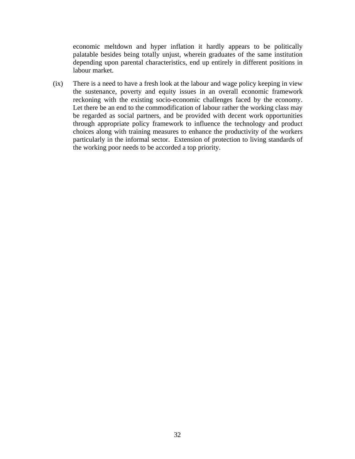economic meltdown and hyper inflation it hardly appears to be politically palatable besides being totally unjust, wherein graduates of the same institution depending upon parental characteristics, end up entirely in different positions in labour market.

(ix) There is a need to have a fresh look at the labour and wage policy keeping in view the sustenance, poverty and equity issues in an overall economic framework reckoning with the existing socio-economic challenges faced by the economy. Let there be an end to the commodification of labour rather the working class may be regarded as social partners, and be provided with decent work opportunities through appropriate policy framework to influence the technology and product choices along with training measures to enhance the productivity of the workers particularly in the informal sector. Extension of protection to living standards of the working poor needs to be accorded a top priority.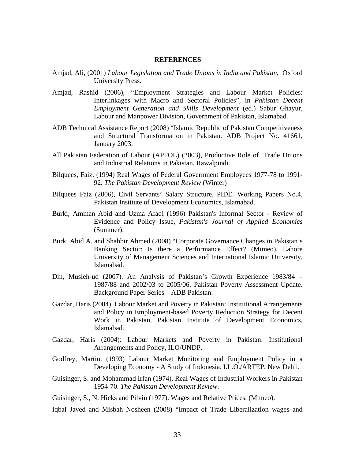#### **REFERENCES**

- Amjad, Ali, (2001) *Labour Legislation and Trade Unions in India and Pakistan*, Oxford University Press.
- Amjad, Rashid (2006), "Employment Strategies and Labour Market Policies: Interlinkages with Macro and Sectoral Policies", in *Pakistan Decent Employment Generation and Skills Development* (ed.) Sabur Ghayur, Labour and Manpower Division, Government of Pakistan, Islamabad.
- ADB Technical Assistance Report (2008) "Islamic Republic of Pakistan Competitiveness and Structural Transformation in Pakistan. ADB Project No. 41661, January 2003.
- All Pakistan Federation of Labour (APFOL) (2003), Productive Role of Trade Unions and Industrial Relations in Pakistan, Rawalpindi.
- Bilquees, Faiz. (1994) Real Wages of Federal Government Employees 1977-78 to 1991- 92. *The Pakistan Development Review* (Winter)
- Bilquees Faiz (2006), Civil Servants' Salary Structure, PIDE. Working Papers No.4, Pakistan Institute of Development Economics, Islamabad.
- Burki, Amman Abid and Uzma Afaqi (1996) Pakistan's Informal Sector Review of Evidence and Policy Issue, *Pakistan's Journal of Applied Economics* (Summer).
- Burki Abid A. and Shabbir Ahmed (2008) "Corporate Governance Changes in Pakistan's Banking Sector: Is there a Performance Effect? (Mimeo), Lahore University of Management Sciences and International Islamic University, Islamabad.
- Din, Musleh-ud (2007). An Analysis of Pakistan's Growth Experience 1983/84 1987/88 and 2002/03 to 2005/06. Pakistan Poverty Assessment Update. Background Paper Series – ADB Pakistan.
- Gazdar, Haris (2004). Labour Market and Poverty in Pakistan: Institutional Arrangements and Policy in Employment-based Poverty Reduction Strategy for Decent Work in Pakistan, Pakistan Institute of Development Economics, Islamabad.
- Gazdar, Haris (2004): Labour Markets and Poverty in Pakistan: Institutional Arrangements and Policy, ILO/UNDP.
- Godfrey, Martin. (1993) Labour Market Monitoring and Employment Policy in a Developing Economy - A Study of Indonesia. I.L.O./ARTEP, New Dehli. Guisinger, S. and Mohammad Irfan (1974). Real Wages of Industrial Workers in Pakistan
- 1954-70. *The Pakistan Development Review*.<br>Guisinger, S., N. Hicks and Pilvin (1977). Wages and Relative Prices. (Mimeo).<br>Iqbal Javed and Misbah Nosheen (2008) "Impact of Trade Liberalization wages and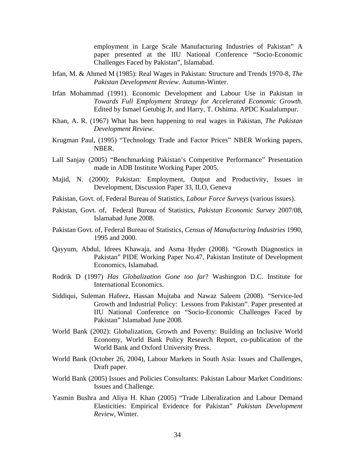employment in Large Scale Manufacturing Industries of Pakistan" A paper presented at the IIU National Conference "Socio-Economic Challenges Faced by Pakistan", Islamabad. Irfan, M. & Ahmed M (1985): Real Wages in Pakistan: Structure and Trends 1970-8, *The* 

- *Pakistan Development Review.* Autumn-Winter.
- Irfan Mohammad (1991). Economic Development and Labour Use in Pakistan in *Towards Full Employment Strategy for Accelerated Economic Growth*. Edited by Ismael Getubig Jr, and Harry, T. Oshima. APDC Kualalumpur.
- Khan, A. R. (1967) What has been happening to real wages in Pakistan, *The Pakistan Development Review.*
- Krugman Paul, (1995) "Technology Trade and Factor Prices" NBER Working papers, NBER.
- Lall Sanjay (2005) "Benchmarking Pakistan's Competitive Performance" Presentation made in ADB Institute Working Paper 2005.
- Majid, N. (2000): Pakistan: Employment, Output and Productivity, Issues in Development, Discussion Paper 33, ILO, Geneva
- Pakistan, Govt. of, Federal Bureau of Statistics, *Labour Force Surveys* (various issues).
- Pakistan, Govt. of, Federal Bureau of Statistics, *Pakistan Economic Survey* 2007/08, Islamabad June 2008.
- Pakistan Govt. of, Federal Bureau of Statistics, *Census of Manufacturing Industries* 1990, 1995 and 2000.
- Qayyum, Abdul, Idrees Khawaja, and Asma Hyder (2008). "Growth Diagnostics in Pakistan" PIDE Working Paper No.47, Pakistan Institute of Development Economics, Islamabad.
- Rodrik D (1997) *Has Globalization Gone too far*? Washington D.C. Institute for International Economics.
- Siddiqui, Suleman Hafeez, Hassan Mujtaba and Nawaz Saleem (2008). "Service-led Growth and Industrial Policy: Lessons from Pakistan". Paper presented at IIU National Conference on "Socio-Economic Challenges Faced by Pakistan" Islamabad June 2008.
- World Bank (2002): Globalization, Growth and Poverty: Building an Inclusive World Economy, World Bank Policy Research Report, co-publication of the World Bank and Oxford University Press.
- World Bank (October 26, 2004), Labour Markets in South Asia: Issues and Challenges, Draft paper.
- World Bank (2005) Issues and Policies Consultants: Pakistan Labour Market Conditions: Issues and Challenge.
- Yasmin Bushra and Aliya H. Khan (2005) "Trade Liberalization and Labour Demand Elasticities: Empirical Evidence for Pakistan" *Pakistan Development Review,* Winter.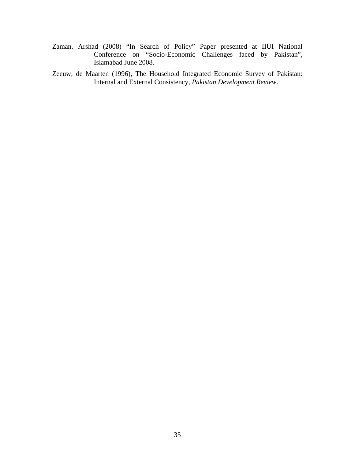- Zaman, Arshad (2008) "In Search of Policy" Paper presented at IIUI National Conference on "Socio-Economic Challenges faced by Pakistan", Islamabad June 2008.
- Zeeuw, de Maarten (1996), The Household Integrated Economic Survey of Pakistan: Internal and External Consistency, *Pakistan Development Review*.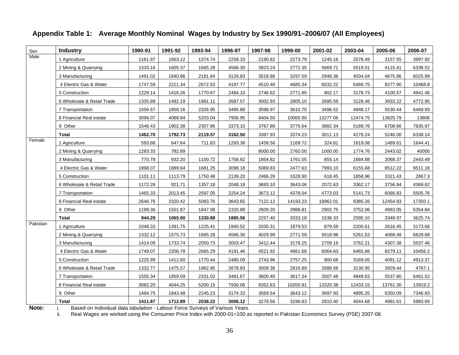| Sex<br>Male | <b>Industry</b>            | 1990-91 | 1991-92 | 1993-94 | 1996-97 | 1997-98 | 1999-00  | 2001-02  | 2003-04  | 2005-06  | 2006-07 |
|-------------|----------------------------|---------|---------|---------|---------|---------|----------|----------|----------|----------|---------|
|             | 1 Agriculture              | 1161.97 | 1663.12 | 1374.74 | 2258.33 | 2190.82 | 2273.79  | 1245.16  | 2578.49  | 3157.55  | 3997.92 |
|             | 2 Mining & Quarrying       | 1333.16 | 1605.37 | 1665.28 | 4566.30 | 3923.24 | 2772.35  | 5669.71  | 5519.01  | 4115.41  | 6338.52 |
|             | 3 Manufacturing            | 1491.02 | 1840.86 | 2181.84 | 3126.83 | 3518.86 | 3297.59  | 2948.36  | 4034.04  | 4675.86  | 6025.99 |
|             | 4 Electric Gas & Water     | 1747.59 | 2211.34 | 2672.53 | 4197.77 | 4510.40 | 4685.34  | 6032.22  | 6469.75  | 8277.90  | 10468.8 |
|             | 5 Construction             | 1228.14 | 1416.26 | 1770.67 | 2484.10 | 2746.62 | 2771.85  | 902.17   | 3178.73  | 4100.57  | 4941.46 |
|             | 6 Wholesale & Retail Trade | 1335.89 | 1492.19 | 1981.11 | 2687.57 | 3002.93 | 2805.10  | 2695.59  | 3128.46  | 3933.22  | 4772.95 |
|             | 7 Transportation           | 1556.67 | 1858.16 | 2326.95 | 3495.88 | 3598.97 | 3610.70  | 3496.52  | 4848.17  | 5530.44  | 6469.93 |
|             | 8 Financial Real estate    | 3096.07 | 4068.84 | 5203.04 | 7956.95 | 8404.50 | 10065.90 | 13277.06 | 12474.75 | 13825.79 | 13806   |
|             | 9 Other                    | 1546.43 | 1902.38 | 2307.86 | 3373.10 | 3767.88 | 3775.64  | 3882.34  | 5189.76  | 6708.66  | 7835.97 |
|             | <b>Total</b>               | 1462.70 | 1792.73 | 2119.57 | 3162.50 | 3387.93 | 3374.23  | 3011.13  | 4278.24  | 5246.00  | 6338.14 |
| Female      | 1 Agriculture              | 593.88  | 647.64  | 711.83  | 1293.38 | 1458.56 | 1169.72  | 324.81   | 1619.08  | 1489.61  | 1644.41 |
|             | 2 Mining & Quarrying       | 1283.33 | 782.89  |         |         | 8000.00 | 2760.00  | 1000.00  | 1774.76  | 2443.02  | 40000   |
|             | 3 Manufacturing            | 770.78  | 932.20  | 1100.72 | 1758.82 | 1854.82 | 1761.05  | 855.14   | 1684.88  | 2068.37  | 2443.49 |
|             | 4 Electric Gas & Water     | 1898.07 | 1889.64 | 1681.25 | 3098.18 | 5069.83 | 2477.63  | 7993.10  | 6155.68  | 8512.22  | 9511.18 |
|             | 5 Construction             | 1101.11 | 1113.79 | 1750.48 | 2139.20 | 2466.26 | 1628.90  | 618.45   | 1858.96  | 3321.43  | 2867.3  |
|             | 6 Wholesale & Retail Trade | 1172.28 | 921.71  | 1357.18 | 2048.18 | 3693.10 | 3643.06  | 2072.63  | 3362.17  | 3756.84  | 4369.62 |
|             | 7 Transportation           | 1465.33 | 2013.45 | 2597.05 | 2254.24 | 3673.12 | 4378.04  | 4773.03  | 5141.73  | 6066.83  | 5505.76 |
|             | 8 Financial Real estate    | 2646.76 | 3320.42 | 5083.76 | 3643.65 | 7122.12 | 14193.23 | 18962.01 | 9385.26  | 12454.93 | 17350.1 |
|             | 9 Other                    | 1199.36 | 1501.87 | 1847.08 | 2320.88 | 2609.20 | 2988.81  | 2902.75  | 3752.06  | 4983.05  | 5354.84 |
|             | <b>Total</b>               | 944.29  | 1065.90 | 1330.88 | 1885.56 | 2257.40 | 2033.18  | 1538.33  | 2595.10  | 3348.97  | 3625.74 |
| Pakistan    | 1 Agriculture              | 1048.33 | 1391.75 | 1225.41 | 1940.52 | 2030.31 | 1879.53  | 879.59   | 2200.61  | 2616.45  | 3173.66 |
|             | 2 Mining & Quarrying       | 1332.12 | 1575.73 | 1665.28 | 4566.30 | 4029.99 | 2771.59  | 5518.98  | 5261.53  | 4068.48  | 6629.68 |
|             | 3 Manufacturing            | 1414.09 | 1733.74 | 2050.73 | 3003.47 | 3412.44 | 3178.25  | 2709.19  | 3762.21  | 4307.38  | 5537.48 |
|             | 4 Electric Gas & Water     | 1749.07 | 2206.78 | 2665.29 | 4191.46 | 4521.92 | 4661.68  | 6064.63  | 6465.66  | 8279.11  | 10456.2 |
|             | 5 Construction             | 1225.99 | 1412.60 | 1770.44 | 2480.09 | 2743.96 | 2757.25  | 900.68   | 3169.05  | 4091.12  | 4913.37 |
|             | 6 Wholesale & Retail Trade | 1332.77 | 1475.57 | 1962.95 | 2678.83 | 3009.36 | 2816.89  | 2688.56  | 3130.95  | 3929.44  | 4767.   |
|             | 7 Transportation           | 1555.34 | 1859.59 | 2331.02 | 3481.67 | 3600.40 | 3617.34  | 3507.48  | 4849.63  | 5537.80  | 6461.52 |
|             | 8 Financial Real estate    | 3082.20 | 4044.25 | 5200.15 | 7930.06 | 8352.63 | 10205.91 | 13320.38 | 12433.15 | 13761.30 | 13919.2 |
|             | 9 Other                    | 1494.75 | 1843.48 | 2245.23 | 3174.33 | 3569.54 | 3643.12  | 3697.93  | 4895.20  | 6350.09  | 7346.83 |
|             | <b>Total</b>               | 1411.87 | 1712.89 | 2038.22 | 3006.12 | 3279.56 | 3198.83  | 2810.40  | 4044.68  | 4991.61  | 5983.69 |

### **Appendix Table 1: Average Monthly Nominal Wages by Industry by Sex 1990/91–2006/07 (All Employees)**

**Note:** i. Based on Individual data tabulation - Labour Force Surveys of Various Years.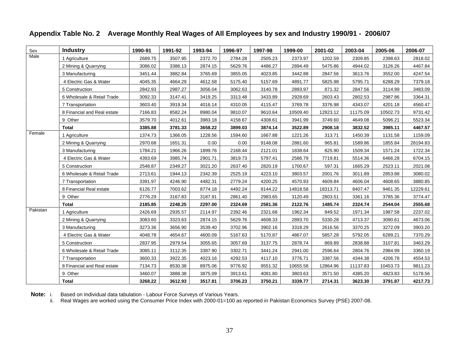| Sex      | <b>Industry</b>             | 1990-91 | 1991-92 | 1993-94 | 1996-97 | 1997-98 | 1999-00  | 2001-02  | 2003-04  | 2005-06  | 2006-07  |
|----------|-----------------------------|---------|---------|---------|---------|---------|----------|----------|----------|----------|----------|
| Male     | 1 Agriculture               | 2689.7  | 3507.95 | 2372.70 | 2784.2  | 2505.23 | 2373.97  | 1202.59  | 2309.85  | 2398.63  | 2818.02  |
|          | 2 Mining & Quarrying        | 3086.0  | 3386.13 | 2874.15 | 5629.76 | 4486.27 | 2894.49  | 5475.86  | 4944.02  | 3126.26  | 4467.84  |
|          | 3 Manufacturing             | 3451.44 | 3882.84 | 3765.69 | 3855.05 | 4023.85 | 3442.88  | 2847.56  | 3613.76  | 3552.00  | 4247.54  |
|          | 4 Electric Gas & Water      | 4045.3  | 4664.29 | 4612.58 | 5175.40 | 5157.69 | 4891.77  | 5825.9   | 5795.7   | 6288.29  | 7379.18  |
|          | 5 Construction              | 2842.9  | 2987.27 | 3056.04 | 3062.63 | 3140.78 | 2893.97  | 871.32   | 2847.56  | 3114.99  | 3483.09  |
|          | 6 Wholesale & Retail Trade  | 3092.33 | 3147.41 | 3419.25 | 3313.48 | 3433.89 | 2928.69  | 2603.43  | 2802.53  | 2987.86  | 3364.31  |
|          | 7 Transportation            | 3603.4  | 3919.34 | 4016.14 | 4310.05 | 4115.47 | 3769.78  | 3376.98  | 4343.07  | 4201.18  | 4560.47  |
|          | 8 Financial and Real estate | 7166.83 | 8582.24 | 8980.04 | 9810.07 | 9610.64 | 10509.40 | 12823.12 | 11175.09 | 10502.73 | 9731.42  |
|          | 9 Other                     | 3579.70 | 4012.61 | 3983.18 | 4158.67 | 4308.61 | 3941.99  | 3749.60  | 4649.08  | 5096.21  | 5523.34  |
|          | Total                       | 3385.8  | 3781.33 | 3658.22 | 3899.03 | 3874.14 | 3522.89  | 2908.18  | 3832.52  | 3985.1'  | 4467.57  |
| Female   | 1 Agriculture               | 1374.73 | 1366.05 | 1228.56 | 1594.60 | 1667.88 | 1221.26  | 313.71   | 1450.39  | 1131.58  | 1159.09  |
|          | 2 Mining & Quarrying        | 2970.68 | 1651.31 | 0.00    | 0.00    | 9148.08 | 2881.60  | 965.81   | 1589.86  | 1855.84  | 28194.83 |
|          | 3 Manufacturing             | 1784.2  | 1966.2  | 1899.76 | 2168.44 | 2121.01 | 1838.64  | 825.90   | 1509.34  | 1571.24  | 1722.34  |
|          | 4 Electric Gas & Water      | 4393.6  | 3985.74 | 2901.71 | 3819.73 | 5797.41 | 2586.79  | 7719.81  | 5514.36  | 6466.28  | 6704.15  |
|          | 5 Construction              | 2548.87 | 2349.27 | 3021.20 | 2637.40 | 2820.19 | 1700.67  | 597.31   | 1665.29  | 2523.11  | 2021.08  |
|          | 6 Wholesale & Retail Trade  | 2713.61 | 1944.13 | 2342.39 | 2525.19 | 4223.10 | 3803.57  | 2001.76  | 3011.89  | 2853.88  | 3080.02  |
|          | 7 Transportation            | 3391.9  | 4246.90 | 4482.31 | 2779.24 | 4200.25 | 4570.93  | 4609.84  | 4606.04  | 4608.65  | 3880.85  |
|          | 8 Financial Real estate     | 6126.77 | 7003.62 | 8774.18 | 4492.24 | 8144.22 | 14818.58 | 18313.71 | 8407.47  | 9461.35  | 12229.61 |
|          | 9 Other                     | 2776.29 | 3167.83 | 3187.91 | 2861.40 | 2983.65 | 3120.49  | 2803.51  | 3361.16  | 3785.36  | 3774.47  |
|          | Total                       | 2185.85 | 2248.25 | 2297.00 | 2324.69 | 2581.36 | 2122.76  | 1485.74  | 2324.74  | 2544.04  | 2555.68  |
| Pakistan | 1 Agriculture               | 2426.69 | 2935.57 | 2114.97 | 2392.46 | 2321.68 | 1962.34  | 849.52   | 1971.34  | 1987.58  | 2237.02  |
|          | 2 Mining & Quarrying        | 3083.60 | 3323.63 | 2874.15 | 5629.76 | 4608.33 | 2893.70  | 5330.28  | 4713.37  | 3090.61  | 4673.06  |
|          | 3 Manufacturing             | 3273.36 | 3656.90 | 3539.40 | 3702.96 | 3902.16 | 3318.29  | 2616.56  | 3370.25  | 3272.09  | 3903.20  |
|          | 4 Electric Gas & Water      | 4048.7  | 4654.67 | 4600.09 | 5167.63 | 5170.87 | 4867.07  | 5857.28  | 5792.05  | 6289.21  | 7370.29  |
|          | 5 Construction              | 2837.9  | 2979.54 | 3055.65 | 3057.69 | 3137.75 | 2878.74  | 869.89   | 2838.88  | 3107.81  | 3463.29  |
|          | 6 Wholesale & Retail Trade  | 3085.1  | 3112.35 | 3387.90 | 3302.7  | 3441.24 | 2941.00  | 2596.64  | 2804.76  | 2984.99  | 3360.19  |
|          | 7 Transportation            | 3600.3  | 3922.35 | 4023.16 | 4292.53 | 4117.10 | 3776.71  | 3387.5   | 4344.38  | 4206.78  | 4554.53  |
|          | 8 Financial and Real estate | 7134.73 | 8530.38 | 8975.06 | 9776.92 | 9551.32 | 10655.58 | 12864.96 | 11137.83 | 10453.73 | 9811.23  |
|          | 9 Other                     | 3460.0  | 3888.38 | 3875.09 | 3913.61 | 4081.80 | 3803.63  | 3571.50  | 4385.20  | 4823.83  | 5178.56  |
|          | <b>Total</b>                | 3268.22 | 3612.93 | 3517.81 | 3706.23 | 3750.21 | 3339.77  | 2714.31  | 3623.30  | 3791.87  | 4217.73  |

### **Appendix Table No. 2 Average Monthly Real Wages of All Employees by sex and Industry 1990/91 - 2006/07**

**Note:** i. Based on Individual data tabulation - Labour Force Surveys of Various Years.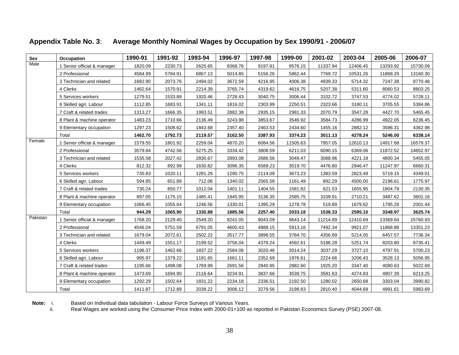| Sex<br>Male | Occupation                  | 1990-91 | 1991-92 | 1993-94 | 1996-97 | 1997-98 | 1999-00  | 2001-02  | 2003-04  | 2005-06  | 2006-07  |
|-------------|-----------------------------|---------|---------|---------|---------|---------|----------|----------|----------|----------|----------|
|             | 1 Senior official & manager | 1820.09 | 2230.73 | 2625.65 | 8368.76 | 9197.81 | 9576.15  | 11337.94 | 12406.45 | 13293.92 | 15730.09 |
|             | 2 Professional              | 4584.99 | 5784.91 | 6867.13 | 5014.85 | 5156.26 | 5862.44  | 7769.72  | 10531.26 | 11868.29 | 13160.30 |
|             | 3 Technician and related    | 1682.90 | 2073.76 | 2494.02 | 3672.59 | 4216.95 | 4006.38  | 4939.33  | 5714.32  | 7247.38  | 8770.48  |
|             | 4 Clerks                    | 1462.64 | 1570.91 | 2214.39 | 3765.74 | 4319.62 | 4616.75  | 5207.38  | 5311.60  | 8060.53  | 8803.25  |
|             | 5 Services workers          | 1279.51 | 1533.89 | 1920.46 | 2728.43 | 3040.75 | 3006.44  | 3102.72  | 3747.53  | 4774.02  | 5728.11  |
|             | 6 Skilled agri. Labour      | 1112.85 | 1683.91 | 1341.11 | 1816.02 | 2303.99 | 2250.51  | 2323.66  | 3180.11  | 3705.55  | 5384.86  |
|             | 7 Craft & related trades    | 1313.27 | 1666.35 | 1993.51 | 2882.3  | 2935.15 | 2981.33  | 2070.79  | 3547.2   | 4427.70  | 5465.45  |
|             | 8 Plant & machine operator  | 1483.23 | 1710.66 | 2136.49 | 3243.98 | 3853.67 | 3546.92  | 3584.73  | 4286.99  | 4922.05  | 6236.45  |
|             | 9 Elementary occupation     | 1297.23 | 1508.62 | 1843.68 | 2357.40 | 2463.53 | 2434.60  | 1455.16  | 2882.12  | 3586.31  | 4362.98  |
|             | Total                       | 1462.70 | 1792.73 | 2119.57 | 3162.50 | 3387.93 | 3374.23  | 3011.13  | 4278.24  | 5246.00  | 6338.14  |
| Female      | 1 Senior official & manager | 1579.55 | 1801.92 | 2259.04 | 4870.20 | 6084.56 | 11505.63 | 7957.05  | 12610.13 | 14917.68 | 16579.37 |
|             | 2 Professional              | 3579.84 | 4742.56 | 5275.25 | 3334.42 | 3808.59 | 6211.03  | 6090.15  | 6369.06  | 11872.52 | 14652.97 |
|             | 3 Technician and related    | 1535.58 | 2027.42 | 2830.67 | 2893.08 | 2686.56 | 3049.47  | 3088.96  | 4221.18  | 4800.34  | 5455.05  |
|             | 4 Clerks                    | 812.32  | 892.99  | 1630.82 | 3096.35 | 6589.23 | 3519.70  | 4476.80  | 2946.47  | 11247.97 | 6660.31  |
|             | 5 Services workers          | 735.83  | 1020.11 | 1281.29 | 1290.75 | 2114.09 | 3673.23  | 1383.59  | 2823.49  | 5719.15  | 4349.01  |
|             | 6 Skilled agri. Labour      | 594.85  | 651.89  | 712.06  | 1340.0  | 2565.58 | 1161.49  | 892.29   | 4500.00  | 2196.61  | 1775.97  |
|             | 7 Craft & related trades    | 730.24  | 850.77  | 1012.04 | 1401.11 | 1404.55 | 1581.82  | 621.53   | 1655.95  | 1804.79  | 2130.35  |
|             | 8 Plant & machine operator  | 897.05  | 1175.15 | 1485.41 | 1945.95 | 3136.35 | 2585.75  | 3109.91  | 2710.21  | 3487.62  | 3601.16  |
|             | 9 Elementary occupation     | 1066.45 | 1055.64 | 1246.56 | 1330.01 | 1395.29 | 1278.78  | 519.89   | 1679.62  | 1795.26  | 2001.44  |
|             | Total                       | 944.29  | 1065.90 | 1330.88 | 1885.56 | 2257.40 | 2033.18  | 1538.33  | 2595.10  | 3348.97  | 3625.74  |
| Pakistan    | 1 Senior official & manager | 1768.20 | 2129.40 | 2549.20 | 8241.05 | 9043.09 | 9643.14  | 11214.89 | 12410.69 | 13369.64 | 15760.93 |
|             | 2 Professional              | 4546.04 | 5751.59 | 6791.05 | 4600.43 | 4888.15 | 5913.16  | 7492.34  | 9921.07  | 11868.88 | 13351.23 |
|             | 3 Technician and related    | 1679.04 | 2072.61 | 2502.22 | 3517.77 | 3898.55 | 3784.70  | 4356.89  | 5214.05  | 6457.57  | 7736.34  |
|             | 4 Clerks                    | 1449.49 | 1551.17 | 2199.52 | 3756.04 | 4379.24 | 4592.61  | 5186.28  | 5251.74  | 8203.80  | 8735.41  |
|             | 5 Services workers          | 1196.37 | 1462.66 | 1837.22 | 2584.06 | 3020.46 | 3014.24  | 3037.29  | 3727.10  | 4797.91  | 5700.23  |
|             | 6 Skilled agri. Labour      | 995.97  | 1379.22 | 1181.65 | 1661.11 | 2352.69 | 1976.61  | 2224.66  | 3206.43  | 3528.13  | 5056.95  |
|             | 7 Craft & related trades    | 1195.66 | 1498.08 | 1769.99 | 2691.56 | 2840.95 | 2882.60  | 1925.20  | 3347.40  | 4080.63  | 5022.69  |
|             | 8 Plant & machine operator  | 1473.69 | 1694.90 | 2116.64 | 3234.91 | 3837.66 | 3539.75  | 3581.63  | 4274.83  | 4907.39  | 6213.25  |
|             | 9 Elementary occupation     | 1292.29 | 1502.64 | 1831.22 | 2234.18 | 2336.51 | 2192.50  | 1280.02  | 2650.68  | 3303.04  | 3990.82  |
|             | Total                       | 1411.87 | 1712.89 | 2038.22 | 3006.12 | 3279.56 | 3198.83  | 2810.40  | 4044.68  | 4991.61  | 5983.69  |

#### **Appendix Table No. 3**: **Average Monthly Nominal Wages by Occupation by Sex 1990/91 - 2006/07**

**Note:** i. Based on Individual data tabulation - Labour Force Surveys of Various Years.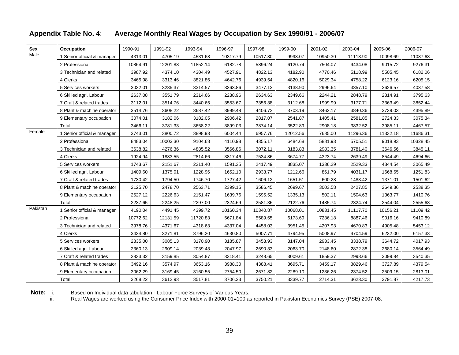#### **Sex Occupation** 1990-91 1991-92 1993-94 1996-97 1997-98 1999-00 2001-02 2003-04 2005-06 2006-07 1 Senior official & manager | 4313.01 | 4705.19 | 4531.68 | 10317.79 | 10517.80 | 9998.07 | 10950.30 | 11113.90 | 10098.69 | 11087.68 | 2 Professional | 10864.91 | 12201.88 | 11852.14 | 6182.78 | 5896.24 | 6120.74 | 7504.07 | 9434.08 | 9015.72 | 9276.31 | 3 Technician and related | 3987.92 | 4374.10 | 4304.49 | 4527.91 | 4822.13 | 4182.90 | 4770.46 | 5118.99 | 5505.45 | 6182.06 | 4 Clerks | 3465.98 | 3313.46 | 3821.86 | 4642.76 | 4939.54 | 4820.16 | 5029.34 | 4758.22 | 6123.16 | 6205.15 | 5 Services workers | 3032.01 | 3235.37 | 3314.57 | 3363.86 | 3477.13 | 3138.90 | 2996.64 | 3357.10 | 3626.57 | 4037.58 | 6 Skilled agri. Labour | 2637.08 | 3551.79 | 2314.66 | 2238.96 | 2634.63 | 2349.66 | 2244.21 | 2848.79 | 2814.91 | 3795.63 | 7 Craft & related trades | 3112.01 | 3514.76 | 3440.65 | 3553.67 | 3356.38 | 3112.68 | 1999.99 | 3177.71 | 3363.49 | 3852.44 | 8 Plant & machine operator | 3514.76 | 3608.22 | 3687.42 | 3999.48 | 4406.72 | 3703.19 | 3462.17 | 3840.36 | 3739.03 | 4395.89 | 9 Elementary occupation | 3074.01 | 3182.06 | 3182.05 | 2906.42 | 2817.07 | 2541.87 | 1405.41 | 2581.85 | 2724.33 | 3075.34 | Male Total | 3466.11 | 3781.33 | 3658.22 | 3899.03 | 3874.14 | 3522.89 | 2908.18 | 3832.52 | 3985.11 | 4467.57 | 1 Senior official & manager | 3743.01 | 3800.72 | 3898.93 | 6004.44 | 6957.76 | 12012.56 | 7685.00 | 11296.36 | 11332.18 | 11686.31 | 2 Professional | 8483.04 | 10003.30 | 9104.68 | 4110.98 | 4355.17 | 6484.68 | 5881.93 | 5705.51 | 9018.93 | 10328.45 | 3 Technician and related | 3638.82 | 4276.36 | 4885.52 | 3566.86 | 3072.11 | 3183.83 | 2983.35 | 3781.40 | 3646.56 | 3845.11 | 4 Clerks | 1924.94 | 1883.55 | 2814.66 | 3817.46 | 7534.86 | 3674.77 | 4323.74 | 2639.49 | 8544.49 | 4694.66 | 5 Services workers | 1743.67 | 2151.67 | 2211.40 | 1591.35 | 2417.49 | 3835.07 | 1336.29 | 2529.33 | 4344.54 | 3065.49 | 6 Skilled agri. Labour | 1409.60 | 1375.01 | 1228.96 | 1652.10 | 2933.77 | 1212.66 | 861.79 | 4031.17 | 1668.65 | 1251.83 | 7 Craft & related trades | 1730.42 | 1794.50 | 1746.70 | 1727.42 | 1606.12 | 1651.51 | 600.28 | 1483.42 | 1371.01 | 1501.62 | 8 Plant & machine operator | 2125.70 | 2478.70 | 2563.71 | 2399.15 | 3586.45 | 2699.67 | 3003.58 | 2427.85 | 2649.36 | 2538.35 | 9 Elementary occupation | 2527.12 | 2226.63 | 2151.47 | 1639.76 | 1595.52 | 1335.13 | 502.11 | 1504.63 | 1363.77 | 1410.76 | Female 1 Septembre official & manager | 3743.01 | 3800.72 | 3808.03 | 6004.44 | 6057.76 | 1201.256 | 7685.00 | 11206.36 | 11332.18 | 11686.31 | Total 2237.65 2248.25 2297.00 2324.69 2581.36 2122.76 1485.74 2324.74 2544.04 2555.68 1 Senior official & manager | 4190.04 | 4491.45 | 4399.72 | 10160.34 | 10340.87 | 10068.01 | 10831.45 | 11117.70 | 10156.21 | 11109.42 | 2 Professional | 10772.62 | 12131.59 | 11720.83 | 5671.84 | 5589.65 | 6173.69 | 7236.18 | 8887.46 | 9016.16 | 9410.89 | 3 Technician and related | 3978.76 | 4371.67 | 4318.63 | 4337.04 | 4458.03 | 3951.45 | 4207.93 | 4670.83 | 4905.48 | 5453.12 | 4 Clerks | 3434.80 | 3271.81 | 3796.20 | 4630.80 | 5007.71 | 4794.95 | 5008.97 | 4704.59 | 6232.00 | 6157.33 | 5 Services workers | 2835.00 | 3085.13 | 3170.90 | 3185.87 | 3453.93 | 3147.04 | 2933.45 | 3338.79 | 3644.72 | 4017.93 | 6 Skilled agri. Labour | 2360.13 | 2909.14 | 2039.43 | 2047.97 | 2690.33 | 2063.70 | 2148.60 | 2872.38 | 2680.14 | 3564.49 | Pakistan 1 Sepier official & manager 4190.04 4491.45 4399.77 10160.34 10340.87 10068.01 10831.45 11117.70 10156.21 11109.42

#### **Appendix Table No. 4**: **Average Monthly Real Wages by Occupation by Sex 1990/91 - 2006/07**

Note: i. Based on Individual data tabulation - Labour Force Surveys of Various Years.

ii. Real Wages are worked using the Consumer Price Index with 2000-01=100 as reported in Pakistan Economics Survey (PSE) 2007-08.

7 Craft & related trades | 2833.32 | 3159.85 | 3054.87 | 3318.41 | 3248.65 | 3009.61 | 1859.37 | 2998.66 | 3099.84 | 3540.35 | 8 Plant & machine operator | 3492.16 | 3574.97 | 3653.16 | 3988.30 | 4388.41 | 3695.71 | 3459.17 | 3829.46 | 3727.89 | 4379.54 | 9 Elementary occupation | 3062.29 | 3169.45 | 3160.55 | 2754.50 | 2671.82 | 2289.10 | 1236.26 | 2374.52 | 2509.15 | 2813.01 |

Total 3268.22 3612.93 3517.81 3706.23 3750.21 3339.77 2714.31 3623.30 3791.87 4217.73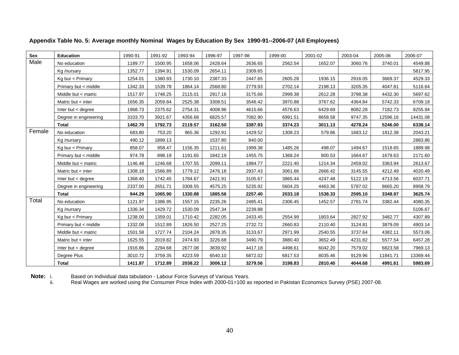| Sex    | Education                             | 1990-91 | 1991-92 | 1993-94            | 1996-97            | 1997-98            | 1999-00 | 2001-02 | 2003-04 | 2005-06 | 2006-07  |
|--------|---------------------------------------|---------|---------|--------------------|--------------------|--------------------|---------|---------|---------|---------|----------|
| Male   | No education                          | 1189.77 | 1500.95 | 1658.06            | 2428.64            | 2636.65            | 2562.54 | 1652.07 | 3060.76 | 3740.01 | 4549.88  |
|        | Kg /nursary                           | 1352.77 | 1394.91 | 1530.09            | 2654.1             | 2309.65            |         |         |         |         | 5817.95  |
|        | Kg bur < Primary                      | 1254.01 | 1380.93 | 1730.10            | 2387.33            | 2447.65            | 2605.28 | 1936.15 | 2916.05 | 3669.37 | 4529.33  |
|        | Primary but < middle                  | 1342.33 | 1539.78 | 1864.14            | 2568.8             | 2779.93            | 2702.14 | 2198.13 | 3205.35 | 4047.81 | 5116.64  |
|        | Middle but < matric                   | 1517.97 | 1748.25 | 2115.01            | 2917.16            | 3175.66            | 2999.38 | 2612.28 | 3798.38 | 4432.30 | 5697.62  |
|        | Matric but < inter                    | 1656.35 | 2059.84 | 2525.38            | 3308.51            | 3546.42            | 3970.88 | 3767.62 | 4364.84 | 5742.33 | 6709.18  |
|        | Inter but < degree                    | 1968.73 | 2375.62 | 2754.31            | 4008.9             | 4615.66            | 4576.63 | 6429.69 | 8082.28 | 7182.73 | 8255.94  |
|        | Degree in engineering                 | 3103.70 | 3921.67 | 4356.68            | 6825.57            | 7082.90            | 6991.51 | 8658.58 | 9747.35 | 12596.1 | 14431.08 |
|        | <b>Total</b>                          | 1462.70 | 1792.73 | 2119.57            | 3162.50            | 3387.93            | 3374.23 | 3011.13 | 4278.24 | 5246.00 | 6338.14  |
| Female | No education                          | 683.80  | 753.20  | 965.36             | 1292.91            | 1429.52            | 1308.23 | 579.86  | 1683.12 | 1812.38 | 2043.21  |
|        | Kg /nursary                           | 490.12  | 1899.13 |                    | 1537.80            | 840.00             |         |         |         |         | 2883.86  |
|        | Kg bur < Primary                      | 858.07  | 958.47  | 1156.35            | 1211.61            | 1999.38            | 1485.26 | 498.07  | 1494.67 | 1518.65 | 1889.98  |
|        | Primary but < middle                  | 974.78  | 898.19  | 1191.65            | 1842.19            | 1455.75            | 1368.24 | 800.53  | 1664.67 | 1679.63 | 2171.60  |
|        | Middle but < matric                   | 1146.48 | 1246.68 | 1707.55            | 2099.              | 1984.77            | 2221.40 | 1214.34 | 2459.02 | 3363.94 | 2613.67  |
|        | Matric but < inter                    | 1308.18 | 1566.89 | 1779.12            | 2476.18            | 2937.43            | 3061.66 | 2666.42 | 3145.55 | 4212.49 | 4020.49  |
|        | Inter but < degree                    | 1368.40 | 1742.45 | 1784.67            | 2421.91            | 3105.67            | 3865.44 | 4247.48 | 5122.19 | 4713.56 | 6037.71  |
|        |                                       | 2337.00 | 2651.7  | 3308.5             | 4575.25            | 5235.92            | 5604.25 | 4463.36 | 5787.02 | 8665.20 | 8958.79  |
|        | Degree in engineering<br><b>Total</b> | 944.29  | 1065.90 | 1330.88            | 1885.56            | 2257.40            | 2033.18 | 1538.33 | 2595.10 | 3348.97 | 3625.74  |
| Total  | No education                          | 1121.97 | 1386.95 | 1557.15            | 2235.2             | 2485.41            | 2306.45 | 1452.57 | 2781.74 | 3382.44 | 4080.35  |
|        |                                       | 1336.34 | 1429.72 | 1530.09            | 2547.34            | 2239.88            |         |         |         |         | 5106.67  |
|        | Kg /nursary<br>Kg bur < Primary       | 1238.00 | 1359.01 | 1710.42            | 2282.05            | 2433.45            | 2554.99 | 1803.64 | 2827.92 | 3482.77 | 4307.89  |
|        |                                       | 1332.08 | 1512.89 | 1826.50            | 2527.25            | 2732.72            | 2660.83 |         | 3124.81 | 3879.09 |          |
|        | Primary but < middle                  |         |         |                    |                    |                    |         | 2110.40 |         |         | 4903.14  |
|        | Middle but < matric                   | 1501.58 | 1727.74 | 2104.24<br>2474.93 | 2878.35<br>3226.68 | 3133.67<br>3490.79 | 2971.99 | 2540.55 | 3737.64 | 4382.1  | 5573.06  |
|        | Matric but < inter                    | 1625.55 | 2019.82 |                    |                    |                    | 3880.40 | 3652.49 | 4231.82 | 5577.54 | 6457.28  |
|        | Inter but < degree                    | 1916.86 | 2294.68 | 2677.08            | 3839.92            | 4417.18            | 4498.61 | 6042.20 | 7579.02 | 6823.58 | 7969.13  |
|        | Degree Plus                           | 3010.72 | 3759.35 | 4223.59            | 6540.              | 6872.02            | 6817.53 | 8035.46 | 9129.96 | 11841.7 | 13369.44 |
|        | Total                                 | 1411.87 | 1712.89 | 2038.22            | 3006.12            | 3279.56            | 3198.83 | 2810.40 | 4044.68 | 4991.61 | 5983.69  |

**Appendix Table No. 5: Average monthly Nominal Wages by Education By Sex 1990-91--2006-07 (All Employees)** 

**Note:** i. Based on Individual data tabulation - Labour Force Surveys of Various Years.<br>ii. Real Wages are worked using the Consumer Price Index with 2000-01=100 as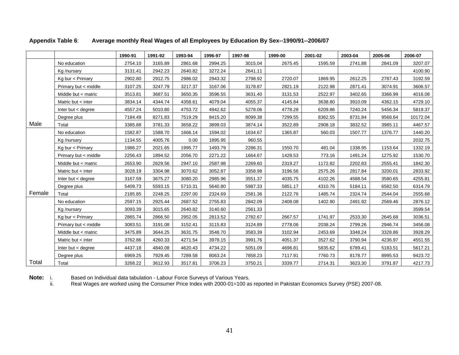|        |                          | 1990-91 | 1991-92 | 1993-94 | 1996-97 | 1997-98 | 1999-00 | 2001-02 | 2003-04 | 2005-06 | 2006-07  |
|--------|--------------------------|---------|---------|---------|---------|---------|---------|---------|---------|---------|----------|
|        | No education             | 2754.10 | 3165.89 | 2861.68 | 2994.25 | 3015.04 | 2675.45 | 1595.59 | 2741.88 | 2841.0  | 3207.07  |
|        | Kg /nursary              | 3131.41 | 2942.23 | 2640.82 | 3272.24 | 2641.11 |         |         |         |         | 4100.90  |
|        | Kg bur < Primary         | 2902.80 | 2912.75 | 2986.02 | 2943.32 | 2798.92 | 2720.07 | 1869.95 | 2612.25 | 2787.43 | 3192.59  |
|        | Primary but $\lt$ middle | 3107.25 | 3247.79 | 3217.37 | 3167.06 | 3178.87 | 2821.19 | 2122.98 | 2871.41 | 3074.91 | 3606.57  |
|        | Middle but < matric      | 3513.81 | 3687.51 | 3650.35 | 3596.5  | 3631.40 | 3131.53 | 2522.97 | 3402.65 | 3366.99 | 4016.08  |
|        | Matric but < inter       | 3834.14 | 4344.74 | 4358.61 | 4079.04 | 4055.37 | 4145.84 | 3638.80 | 3910.09 | 4362.15 | 4729.10  |
|        | Inter but < degree       | 4557.24 | 5010.80 | 4753.72 | 4942.62 | 5278.06 | 4778.28 | 6209.86 | 7240.24 | 5456.34 | 5819.37  |
|        | Degree plus              | 7184.49 | 8271.83 | 7519.29 | 8415.20 | 8099.38 | 7299.55 | 8362.55 | 8731.84 | 9568.64 | 10172.04 |
| Male   | Total                    | 3385.88 | 3781.33 | 3658.22 | 3899.0  | 3874.14 | 3522.89 | 2908.18 | 3832.52 | 3985.1  | 4467.57  |
|        | No education             | 1582.87 | 1588.7  | 1666.14 | 1594.0  | 1634.67 | 1365.87 | 560.03  | 1507.77 | 1376.77 | 1440.20  |
|        | Kg /nursary              | 1134.55 | 4005.76 | 0.00    | 1895.9  | 960.55  |         |         |         |         | 2032.75  |
|        | Kg bur < Primary         | 1986.27 | 2021.65 | 1995.77 | 1493.79 | 2286.31 | 1550.70 | 481.04  | 1338.95 | 1153.64 | 1332.19  |
|        | Primary but < middle     | 2256.43 | 1894.5  | 2056.7  | 2271.22 | 1664.67 | 1428.53 | 773.16  | 1491.24 | 1275.92 | 1530.70  |
|        | Middle but < matric      | 2653.90 | 2629.56 | 2947.1  | 2587.98 | 2269.60 | 2319.27 | 1172.82 | 2202.83 | 2555.41 | 1842.30  |
|        | Matric but < inter       | 3028.19 | 3304.98 | 3070.62 | 3052.87 | 3358.98 | 3196.56 | 2575.26 | 2817.84 | 3200.01 | 2833.92  |
|        | Inter but < degree       | 3167.59 | 3675.27 | 3080.2  | 2985.96 | 3551.37 | 4035.75 | 4102.26 | 4588.54 | 3580.65 | 4255.81  |
|        | Degree plus              | 5409.73 | 5593.15 | 5710.31 | 5640.80 | 5987.33 | 5851.17 | 4310.76 | 5184.11 | 6582.50 | 6314.79  |
| Female | Total                    | 2185.85 | 2248.25 | 2297.00 | 2324.69 | 2581.36 | 2122.76 | 1485.74 | 2324.74 | 2544.04 | 2555.68  |
|        | No education             | 2597.1  | 2925.44 | 2687.5  | 2755.83 | 2842.09 | 2408.08 | 1402.90 | 2491.9  | 2569.46 | 2876.12  |
|        | Kg /nursary              | 3093.39 | 3015.65 | 2640.82 | 3140.60 | 2561.33 |         |         |         |         | 3599.54  |
|        | Kg bur < Primary         | 2865.74 | 2866.50 | 2952.05 | 2813.52 | 2782.67 | 2667.57 | 1741.97 | 2533.30 | 2645.68 | 3036.51  |
|        | Primary but < middle     | 3083.51 | 3191.08 | 3152.41 | 3115.83 | 3124.89 | 2778.06 | 2038.24 | 2799.26 | 2946.74 | 3456.08  |
|        | Middle but < matric      | 3475.89 | 3644.25 | 3631.75 | 3548.7  | 3583.39 | 3102.94 | 2453.69 | 3348.24 | 3328.86 | 3928.29  |
|        | Matric but < inter       | 3762.86 | 4260.33 | 4271.54 | 3978.15 | 3991.76 | 4051.37 | 3527.62 | 3790.94 | 4236.97 | 4551.55  |
|        | Inter but < degree       | 4437.18 | 4840.08 | 4620.43 | 4734.22 | 5051.09 | 4696.81 | 5835.62 | 6789.41 | 5183.51 | 5617.21  |
|        | Degree plus              | 6969.25 | 7929.45 | 7289.58 | 8063.24 | 7858.23 | 7117.91 | 7760.73 | 8178.77 | 8995.53 | 9423.72  |
| Total  | Total                    | 3268.22 | 3612.93 | 3517.81 | 3706.23 | 3750.21 | 3339.77 | 2714.31 | 3623.30 | 3791.87 | 4217.73  |

**Note:** i. Based on Individual data tabulation - Labour Force Surveys of Various Years.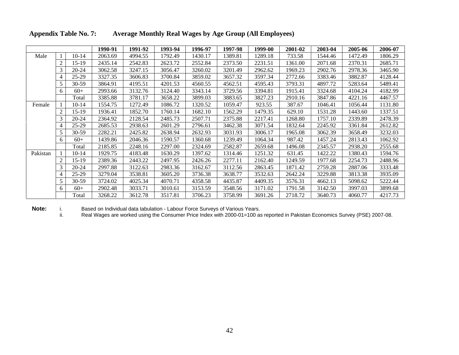|          |         | 1990-91 | 1991-92 | 1993-94 | 1996-97 | 1997-98 | 1999-00 | 2001-02 | 2003-04 | 2005-06 | 2006-07 |
|----------|---------|---------|---------|---------|---------|---------|---------|---------|---------|---------|---------|
|          | 10-14   | 2063.69 | 4994.55 | 1792.49 | 1430.17 | 1389.81 | 1289.18 | 733.58  | 1544.46 | 1472.49 | 1806.29 |
|          | 15-19   | 2435.14 | 2542.83 | 2623.72 | 2552.84 | 2373.50 | 2231.51 | 1361.00 | 2071.68 | 2370.31 | 2685.71 |
|          |         | 3062.58 | 3247.15 | 3056.47 | 3260.02 | 3201.49 | 2962.62 | 1969.23 | 2902.76 | 2978.36 | 3465.90 |
|          | 25-29   | 3327.35 | 3606.83 | 3700.84 | 3859.02 | 3657.32 | 3597.34 | 2772.66 | 3383.46 | 3882.87 | 4128.44 |
|          | 30-59   | 3864.91 | 4195.51 | 4201.53 | 4560.55 | 4562.51 | 4595.43 | 3793.31 | 4897.72 | 5283.64 | 5489.41 |
|          |         | 2993.66 | 3132.76 | 3124.40 | 3343.14 | 3729.56 | 3394.81 | 1915.41 | 3324.68 | 4104.24 | 4182.99 |
|          | Total   | 3385.88 | 3781.17 | 3658.22 | 3899.03 | 3883.65 | 3827.23 | 2910.16 | 3847.86 | 4221.16 | 4467.57 |
| Female   | $10-14$ | 1554.75 | 1272.49 | 1086.72 | 1320.52 | 1059.47 | 923.55  | 387.67  | 1046.41 | 1056.44 | 1131.80 |
|          | 15-19   | 1936.41 | 1852.70 | 1760.14 | 1682.10 | 1562.29 | 1479.35 | 629.10  | 1531.28 | 1443.60 | 1337.51 |
|          | 20-24   | 2364.92 | 2128.54 | 2485.73 | 2507.71 | 2375.88 | 2217.41 | 1268.80 | 1757.10 | 2339.89 | 2478.39 |
|          | 25-29   | 2685.53 | 2938.63 | 2601.29 | 2796.61 | 3462.38 | 3071.54 | 1832.64 | 2245.92 | 3361.84 | 2612.82 |
|          |         | 2282.21 | 2425.82 | 2638.94 | 2632.93 | 3031.93 | 3006.17 | 1965.08 | 3062.39 | 3658.49 | 3232.03 |
|          | $60+$   | 1439.86 | 2046.36 | 1590.57 | 1360.68 | 1239.49 | 1064.34 | 987.42  | 1457.24 | 2813.43 | 1062.92 |
|          | Total   | 2185.85 | 2248.16 | 2297.00 | 2324.69 | 2582.87 | 2659.68 | 1496.08 | 2345.57 | 2938.20 | 2555.68 |
| Pakistan | $10-14$ | 1929.75 | 4183.48 | 1630.29 | 1397.62 | 1314.46 | 1251.32 | 631.45  | 1422.22 | 1380.43 | 1594.76 |
|          | $15-19$ | 2389.36 | 2443.22 | 2497.95 | 2426.26 | 2277.11 | 2162.40 | 1249.59 | 1977.68 | 2254.73 | 2488.96 |
|          |         | 2997.88 | 3122.63 | 2983.36 | 3162.67 | 3112.56 | 2863.45 | 1871.42 | 2759.28 | 2887.06 | 3333.48 |
|          | $25-29$ | 3279.04 | 3538.81 | 3605.20 | 3736.38 | 3638.77 | 3532.63 | 2642.24 | 3229.88 | 3813.38 | 3935.09 |
|          | 30-59   | 3724.02 | 4025.34 | 4070.71 | 4358.58 | 4435.87 | 4409.35 | 3576.31 | 4662.13 | 5098.62 | 5222.44 |
|          | $60+$   | 2902.48 | 3033.71 | 3010.61 | 3153.59 | 3548.56 | 3171.02 | 1791.58 | 3142.50 | 3997.03 | 3899.68 |
|          | Total   | 3268.22 |         | 3517.81 | 3706.23 | 3758.99 | 3691.26 | 2718.72 | 3640.73 | 4060.77 | 4217.73 |

**Appendix Table No. 7: Average Monthly Real Wages by Age Group (All Employees)**

**Note:** i. Based on Individual data tabulation - Labour Force Surveys of Various Years.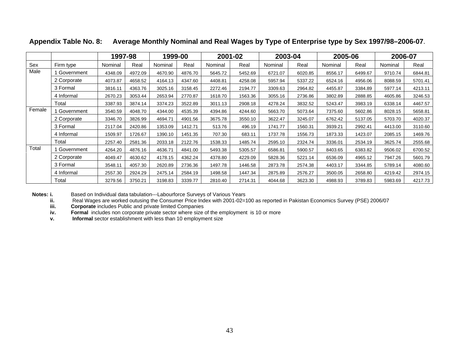|            |              | 1997-98 |         | 1999-00         |         |         | 2001-02 |         | 2003-04 | 2005-06 |         | 2006-07 |         |
|------------|--------------|---------|---------|-----------------|---------|---------|---------|---------|---------|---------|---------|---------|---------|
| <u>Sex</u> | Firm type    | Nominal | Real    | Nominal         | Real    | Nominal | Real    | Nominal | Real    | Nominal | Real    | Nominal | Real    |
| Male       | 1 Government | 4348.09 | 4972.0  | 4670.90         | 4876.70 | 5645.72 | 5452.69 | 6721.07 | 6020.85 | 8556.17 | 6499.67 | 9710.74 | 6844.8  |
|            | 2 Corporate  | 4073.87 | 4658.52 | 4164.13 4347.60 |         | 4408.81 | 4258.08 | 5957.94 | 5337.22 | 6524.16 | 4956.06 | 8088.59 | 5701.41 |
|            | 3 Formal     | 3816.11 | 4363.76 | 3025.16 3158.45 |         | 2272.46 | 2194.77 | 3309.63 | 2964.82 | 4455.87 | 3384.89 | 5977.14 | 4213.11 |
|            | 4 Informal   | 2670.23 | 3053.44 | 2653.94         | 2770.87 | 1618.70 | 1563.36 | 3055.1  | 2736.86 | 3802.89 | 2888.85 | 4605.86 | 3246.53 |
|            | Total        | 3387.93 | 3874.14 | 3374.23 3522.89 |         | 3011.13 | 2908.18 | 4278.24 | 3832.52 | 5243.47 | 3983.19 | 6338.14 | 4467.5  |
| Female     | 1 Government | 3540.59 | 4048.70 | 4344.00         | 4535.39 | 4394.86 | 4244.60 | 5663.7  | 5073.64 | 7375.60 | 5602.86 | 8028.15 | 5658.8  |
|            | 2 Corporate  | 3346.70 | 3826.9  | 4694.71         | 4901.   | 3675.78 | 3550.10 | 3622.47 | 3245.07 | 6762.42 | 5137.05 | 5703.70 | 4020.37 |
|            | 3 Formal     | 2117.04 | 2420.86 | 1353.09         | 1412.71 | 513.76  | 496.1   | 1741.77 | 1560.31 | 3939.21 | 2992.41 | 4413.00 |         |
|            | 4 Informal   | 1509.97 | 1726.67 | 1390.10         | 1451.   | 707.30  | 683.11  | 1737.7  | 1556.73 | 1873.33 | 1423.07 | 2085.15 | 1469.76 |
|            | Total        | 2257.40 | 2581.36 | 2033.18 2122.76 |         | 1538.33 | 1485.74 | 2595.1  | 2324.74 | 3336.01 | 2534.19 | 3625.74 | 2555.68 |
| Total      | 1 Government | 4264.20 | 4876.16 | 4636.71         | 4841.00 | 5493.38 | 5305.57 | 6586.81 | 5900.57 | 8403.65 | 6383.82 | 9506.02 | 6700.52 |
|            | 2 Corporate  | 4049.47 | 4630.62 | 4178.15 4362.24 |         | 4378.80 | 4229.09 | 5828.3  | 5221.14 | 6536.09 | 4965.12 | 7947.26 | 5601.7  |
|            | 3 Formal     | 3548.11 | 4057.30 | 2620.89         | 2736.36 | 1497.78 | 1446.58 | 2873.7  | 2574.38 | 4403.17 | 3344.85 | 5789.14 | 4080.6  |
|            | 4 Informal   | 2557.30 | 2924.29 | 2475.14 2584.1  |         | 1498.58 | 1447.34 | 2875.8  | 2576.27 | 3500.05 | 2658.80 | 4219.42 | 2974.1  |
|            | Total        | 3279.56 | 3750.21 | 3198.83 3339.77 |         | 2810.40 | 2714.31 | 4044.68 | 3623.30 | 4988.93 | 3789.83 | 5983.69 | 4217.73 |

#### **Appendix Table No. 8: Average Monthly Nominal and Real Wages by Type of Enterprise type by Sex 1997/98–2006-07**.

**Notes: i.** Based on Individual data tabulation---Labourforce Surveys of Various Years

**ii.** Real Wages are worked outusing the Consumer Price Index with 2001-02=100 as reported in Pakistan Economics Survey (PSE) 2006/07

**iii. Corporate** includes Public and private limited Companies

**iv. Formal** includes non corporate private sector where size of the employment is 10 or more

**v. Informal** sector establishment with less than 10 employment size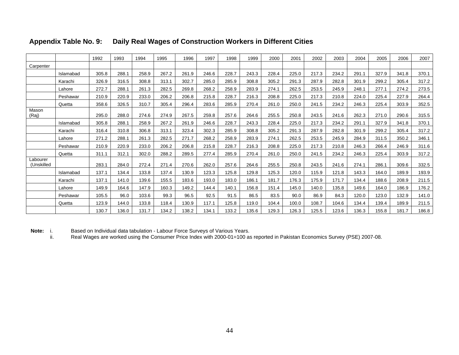|                |           | 1992    | $\vert$ 1993 | 1994        | 1995  | 1996 l | 1997                                                           | 1998 l  | 1999  |         | 2000 2001                                             | 2002  | 2003  |       | 2004 2005 2006                |             | 2007        |
|----------------|-----------|---------|--------------|-------------|-------|--------|----------------------------------------------------------------|---------|-------|---------|-------------------------------------------------------|-------|-------|-------|-------------------------------|-------------|-------------|
| Carpenter      |           |         |              |             |       |        |                                                                |         |       |         |                                                       |       |       |       |                               |             |             |
|                | Islamabad | 305.8   | 288.1        | 258.9       |       |        |                                                                |         | 243.3 | 228.4   | 225.0                                                 |       | 234.2 | 291.1 | 327.9                         | 341.8       | 370.1       |
|                | Karachi   | 326.9   |              | 308.8       |       | :302   | 285.0                                                          | 285.9   | 308.8 | 305.2   | 291.3                                                 | 287.9 | 282.8 |       | 301.9 299.2 305.4             |             | 317.2       |
|                | Lahore    | 272.7   | 288.1        | 261.3       | 282.5 | 269.8  | 268.2                                                          | 258.9   | 283.9 | 274.1   | 262.5                                                 | 253.5 | 245.9 |       | 248.1 277.1 274.2 273.5       |             |             |
|                | Peshawar  | 210.9   | 220.9        | 233.0       | 206.2 | 206.8  | 215.8                                                          | 228.7   | 216.3 | 208.8   | 225.0                                                 | 217.3 | 210.8 | 224.0 | 225.4                         | 227.9       | 264.4       |
|                | Quetta    | 358.6   | 326.5        | 310.7       | 305.4 | 296.4  | 283.6                                                          | 285.9 1 | 270.4 |         | 261.0 250.0 241.5                                     |       | 234.2 |       | 246.3 225.4 303.9             |             | 352.5       |
| Mason<br>(Rai) |           | 295.0   |              |             |       |        | 288.0 274.6 274.9 267.5 259.8 257.6                            |         |       |         | 264.6 255.5 250.8 243.5 241.6 262.3 271.0 290.6 315.5 |       |       |       |                               |             |             |
|                | Islamabad | 305.8   | 288.1        | 258.9 267.2 |       | 261.9  | 246.6                                                          | 228.7   | 243.3 |         | 228.4 225.0 217.3                                     |       |       |       | 234.2 291.1 327.9 341.8 370.1 |             |             |
|                | Karachi   | 316.4   | 310.8        | 306.8       | 313.1 | 323.4  | 302.3                                                          | 285.9   | 308.8 | 305.2   | 291.3                                                 | 287.9 | 282.8 | 301.9 | 299.2                         |             | 305.4 317.2 |
|                | Lahore    |         |              |             | 282.  |        |                                                                |         |       | 274.1   | 262.5                                                 | 253.5 |       | 284.9 |                               | 350.2       | 346.1       |
|                | Peshawar  | 210.9   |              | 233.0       | 206.  |        |                                                                |         | 216.3 | 208.8   | 225.0                                                 | 217.3 | 210.8 |       | 246.3 266.4                   | 246.9       |             |
|                | Quetta    | 311.1   | 312.1        | 302.0       | 288.2 |        |                                                                |         | 270.4 | 261.0 L | 250.0                                                 | 241.5 | 234.2 | 246.3 | 225.4 303.9                   |             | - 317.2     |
| Labourer       |           |         |              |             |       |        |                                                                |         |       |         |                                                       |       |       |       |                               |             |             |
| (Unskilled     |           | 283.1   | 284.0        | 272.4 271.4 |       | 270.6  | 262.0                                                          | 257.6   | 264.6 | 255.5   | 250.8                                                 | 243.5 | 241.6 |       | 274.1 286.1                   | 309.6       | 332.5       |
|                | Islamabad | 137.1 l | 134.4        | 133.8       | 137.4 | 130.9  | 123.3                                                          | 125.8   | 129.8 | 125.3   | 120.0                                                 | 115.9 | 121.8 | 143.3 | 164.0                         | 189.9       | 193.9       |
|                | Karachi   | 137.1   |              | 139         |       | 1831   | 193 <sub>0</sub>                                               | 1ጸ3 በ   | 186.1 |         | 176.3                                                 | 175.9 | 1717  | 134.4 | 188.6                         | 208.9       |             |
|                | Lahore    | 149.9   | 164.6        | 147.9       | 160.3 | 149.2  | 144.4                                                          | 140.1   | 156.8 | 151.4 L | 145.0                                                 | 140.0 | 135.8 |       | 149.6  164.0  186.9           |             | 176.2       |
|                | Peshawar  | 105.5   | 96.0         | 103.6       |       |        | 92.5                                                           |         | 86.5  | 83.5    | 90.0                                                  | 86.9  | 84.3  | 120.0 |                               | 123.0 132.9 |             |
|                | Quetta    | 123.9   |              | 133.8       | 118.4 |        | 117.1                                                          | 125.8   | 119.0 | 104.4   | 100.0                                                 | 108.7 | 104.6 | 134.4 | 139.4 189.9                   |             |             |
|                |           | 130.7   |              |             |       |        | <mark>. 136.0   131.7   134.2   138.2   134.1   133.2  </mark> |         | 135.6 |         | 129.3 126.3                                           | 125.5 | 123.6 |       | 136.3 155.8 181.7             |             | 186.8       |

#### **Appendix Table No. 9: Daily Real Wages of Construction Workers in Different Cities**

Note: i. **Note:** i. Based on Individual data tabulation - Labour Force Surveys of Various Years.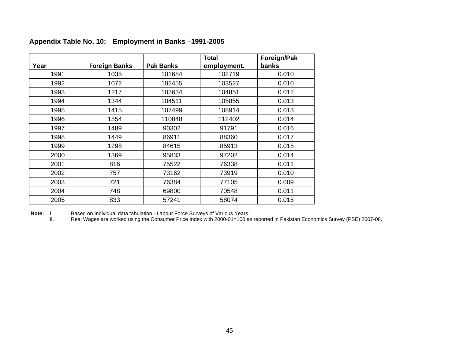|      | Appendix Table No. 10: Employment in Banks-1991-2005 |                  |                             |                      |
|------|------------------------------------------------------|------------------|-----------------------------|----------------------|
| Year | Foreign Banks                                        | <b>Pak Banks</b> | <b>Total</b><br>employment. | Foreign/Pak<br>banks |
| 1991 | 1035                                                 | 101684           | 102719                      | 0.010                |
| 1992 | 1072                                                 | 102455           | 103527                      | 0.010                |
| 1993 | 1217                                                 | 103634           | 104851                      | 0.012                |
| 1994 | 1344                                                 | 104511           | 105855                      | 0.013                |
| 1995 | 1415                                                 | 107499           | 108914                      | 0.013                |
| 1996 | 1554                                                 | 110848           | 112402                      | 0.014                |
| 1997 | 1489                                                 | 90302            | 91791                       | 0.016                |
| 1998 | 1449                                                 | 86911            | 88360                       | 0.017                |
| 1999 | 1298                                                 | 84615            | 85913                       | 0.015                |
| 2000 | 1369                                                 | 95833            | 97202                       | 0.014                |
| 2001 | 816                                                  | 75522            | 76338                       | 0.011                |
| 2002 | 757                                                  | 73162            | 73919                       | 0.010                |
| 2003 | 721                                                  | 76384            | 77105                       | 0.009                |
| 2004 | 748                                                  | 69800            | 70548                       | 0.011                |
| 2005 | 833                                                  | 57241            | 58074                       | 0.015                |

**Note:** i. Based on Individual data tabulation - Labour Force Surveys of Various Years.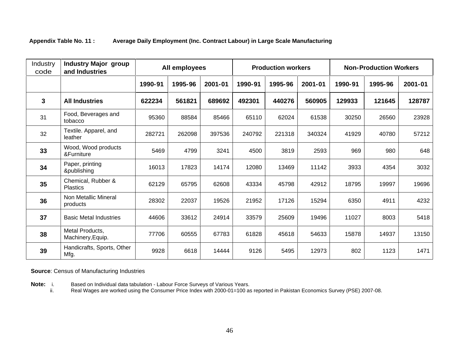#### **Appendix Table No. 11 : Average Daily Employment (Inc. Contract Labour) in Large Scale Manufacturing**

| Industry<br>code | <b>Industry Major group</b><br>and Industries |         | All employees |         |         | <b>Production workers</b> |         |         | <b>Non-Production Workers</b> |         |
|------------------|-----------------------------------------------|---------|---------------|---------|---------|---------------------------|---------|---------|-------------------------------|---------|
|                  |                                               | 1990-91 | 1995-96       | 2001-01 | 1990-91 | 1995-96                   | 2001-01 | 1990-91 | 1995-96                       | 2001-01 |
| $\mathbf{3}$     | <b>All Industries</b>                         | 622234  | 561821        | 689692  | 492301  | 440276                    | 560905  | 129933  | 121645                        | 128787  |
| 31               | Food, Beverages and<br>tobacco                | 95360   | 88584         | 85466   | 65110   | 62024                     | 61538   | 30250   | 26560                         | 23928   |
| 32               | Textile. Apparel, and<br>leather              | 282721  | 262098        | 397536  | 240792  | 221318                    | 340324  | 41929   | 40780                         | 57212   |
| 33               | Wood, Wood products<br>&Furniture             | 5469    | 4799          | 3241    | 4500    | 3819                      | 2593    | 969     | 980                           | 648     |
| 34               | Paper, printing<br>&publishing                | 16013   | 17823         | 14174   | 12080   | 13469                     | 11142   | 3933    | 4354                          | 3032    |
| 35               | Chemical, Rubber &<br>Plastics                | 62129   | 65795         | 62608   | 43334   | 45798                     | 42912   | 18795   | 19997                         | 19696   |
| 36               | Non Metallic Mineral<br>products              | 28302   | 22037         | 19526   | 21952   | 17126                     | 15294   | 6350    | 4911                          | 4232    |
| 37               | <b>Basic Metal Industries</b>                 | 44606   | 33612         | 24914   | 33579   | 25609                     | 19496   | 11027   | 8003                          | 541     |
| 38               | Metal Products,<br>Machinery, Equip.          | 77706   | 60555         | 67783   | 61828   | 45618                     | 54633   | 15878   | 14937                         | 13150   |
| 39               | Handicrafts, Sports, Other<br>Mfg.            | 9928    | 6618          | 14444   | 9126    | 5495                      | 12973   | 802     | 1123                          | 1471    |

**Source**: Census of Manufacturing Industries

**Note:** i. Based on Individual data tabulation - Labour Force Surveys of Various Years.